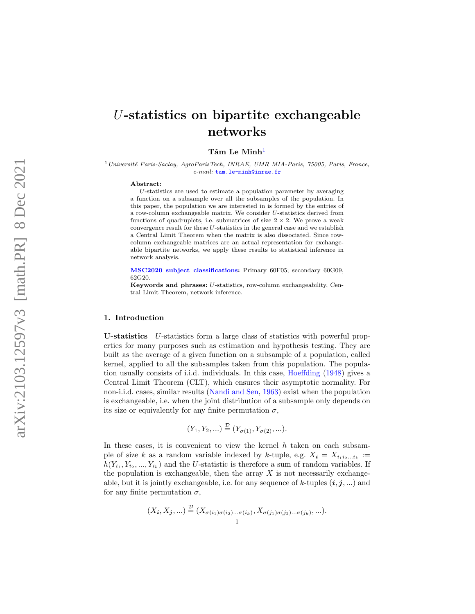# U-statistics on bipartite exchangeable networks

# $\mathrm{T\^{am}\ Le\ Minh^1}$  $\mathrm{T\^{am}\ Le\ Minh^1}$  $\mathrm{T\^{am}\ Le\ Minh^1}$

<span id="page-0-0"></span> $1$ Université Paris-Saclay, AgroParisTech, INRAE, UMR MIA-Paris, 75005, Paris, France, e-mail: [tam.le-minh@inrae.fr](mailto:tam.le-minh@inrae.fr)

#### Abstract:

U-statistics are used to estimate a population parameter by averaging a function on a subsample over all the subsamples of the population. In this paper, the population we are interested in is formed by the entries of a row-column exchangeable matrix. We consider U-statistics derived from functions of quadruplets, i.e. submatrices of size  $2 \times 2$ . We prove a weak convergence result for these U-statistics in the general case and we establish a Central Limit Theorem when the matrix is also dissociated. Since rowcolumn exchangeable matrices are an actual representation for exchangeable bipartite networks, we apply these results to statistical inference in network analysis.

[MSC2020 subject classifications](https://mathscinet.ams.org/mathscinet/msc/msc2020.html) : Primary 60F05; secondary 60G09, 62G20.

Keywords and phrases: U-statistics, row-column exchangeability, Central Limit Theorem, network inference.

#### 1. Introduction

U-statistics U-statistics form a large class of statistics with powerful properties for many purposes such as estimation and hypothesis testing. They are built as the average of a given function on a subsample of a population, called kernel, applied to all the subsamples taken from this population. The population usually consists of i.i.d. individuals. In this case, [Hoeffding](#page-28-0) [\(1948\)](#page-28-0) gives a Central Limit Theorem (CLT), which ensures their asymptotic normality. For non-i.i.d. cases, similar results [\(Nandi and Sen](#page-28-1) , [1963\)](#page-28-1) exist when the population is exchangeable, i.e. when the joint distribution of a subsample only depends on its size or equivalently for any finite permutation  $\sigma$ ,

$$
(Y_1, Y_2, \ldots) \stackrel{\mathcal{D}}{=} (Y_{\sigma(1)}, Y_{\sigma(2)}, \ldots).
$$

In these cases, it is convenient to view the kernel  $h$  taken on each subsample of size k as a random variable indexed by k-tuple, e.g.  $X_i = X_{i_1 i_2 \dots i_k} :=$  $h(Y_{i_1}, Y_{i_2},..., Y_{i_k})$  and the U-statistic is therefore a sum of random variables. If the population is exchangeable, then the array  $X$  is not necessarily exchangeable, but it is jointly exchangeable, i.e. for any sequence of k-tuples  $(i, j, ...)$  and for any finite permutation  $\sigma$ ,

$$
(X_{\boldsymbol{i}}, X_{\boldsymbol{j}}, \ldots) \stackrel{\mathcal{D}}{=} (X_{\sigma(i_1)\sigma(i_2)\ldots\sigma(i_k)}, X_{\sigma(j_1)\sigma(j_2)\ldots\sigma(j_k)}, \ldots).
$$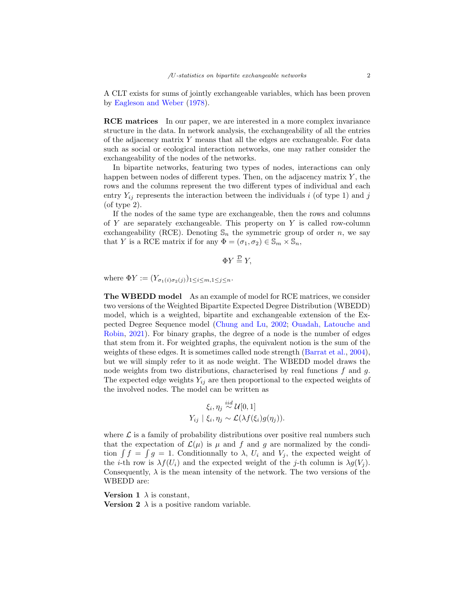A CLT exists for sums of jointly exchangeable variables, which has been proven by [Eagleson and Weber](#page-28-2) [\(1978\)](#page-28-2).

RCE matrices In our paper, we are interested in a more complex invariance structure in the data. In network analysis, the exchangeability of all the entries of the adjacency matrix Y means that all the edges are exchangeable. For data such as social or ecological interaction networks, one may rather consider the exchangeability of the nodes of the networks.

In bipartite networks, featuring two types of nodes, interactions can only happen between nodes of different types. Then, on the adjacency matrix  $Y$ , the rows and the columns represent the two different types of individual and each entry  $Y_{ij}$  represents the interaction between the individuals i (of type 1) and j (of type 2).

If the nodes of the same type are exchangeable, then the rows and columns of Y are separately exchangeable. This property on Y is called row-column exchangeability (RCE). Denoting  $\mathbb{S}_n$  the symmetric group of order n, we say that Y is a RCE matrix if for any  $\Phi = (\sigma_1, \sigma_2) \in \mathbb{S}_m \times \mathbb{S}_n$ ,

$$
\Phi Y \stackrel{\mathcal{D}}{=} Y,
$$

where  $\Phi Y := (Y_{\sigma_1(i)\sigma_2(i)})_{1 \leq i \leq m, 1 \leq j \leq n}$ .

The WBEDD model As an example of model for RCE matrices, we consider two versions of the Weighted Bipartite Expected Degree Distribution (WBEDD) model, which is a weighted, bipartite and exchangeable extension of the Expected Degree Sequence model [\(Chung and Lu,](#page-28-3) [2002;](#page-28-3) [Ouadah, Latouche and](#page-28-4) [Robin,](#page-28-4) [2021\)](#page-28-4). For binary graphs, the degree of a node is the number of edges that stem from it. For weighted graphs, the equivalent notion is the sum of the weights of these edges. It is sometimes called node strength [\(Barrat et al.,](#page-28-5) [2004\)](#page-28-5), but we will simply refer to it as node weight. The WBEDD model draws the node weights from two distributions, characterised by real functions  $f$  and  $g$ . The expected edge weights  $Y_{ij}$  are then proportional to the expected weights of the involved nodes. The model can be written as

$$
\xi_i, \eta_j \stackrel{iid}{\sim} \mathcal{U}[0,1]
$$
  

$$
Y_{ij} \mid \xi_i, \eta_j \sim \mathcal{L}(\lambda f(\xi_i)g(\eta_j)).
$$

where  $\mathcal L$  is a family of probability distributions over positive real numbers such that the expectation of  $\mathcal{L}(\mu)$  is  $\mu$  and f and g are normalized by the condition  $\int f = \int g = 1$ . Conditionnally to  $\lambda$ ,  $U_i$  and  $V_j$ , the expected weight of the *i*-th row is  $\lambda f(U_i)$  and the expected weight of the *j*-th column is  $\lambda g(V_i)$ . Consequently,  $\lambda$  is the mean intensity of the network. The two versions of the WBEDD are:

**Version 1**  $\lambda$  is constant, **Version 2**  $\lambda$  is a positive random variable.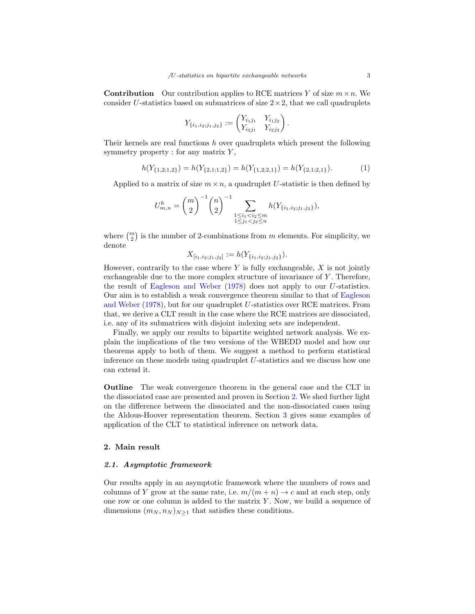**Contribution** Our contribution applies to RCE matrices Y of size  $m \times n$ . We consider U-statistics based on submatrices of size  $2 \times 2$ , that we call quadruplets

$$
Y_{\{i_1,i_2;j_1,j_2\}} := \begin{pmatrix} Y_{i_1j_1} & Y_{i_1j_2} \\ Y_{i_2j_1} & Y_{i_2j_2} \end{pmatrix}
$$

Their kernels are real functions h over quadruplets which present the following symmetry property : for any matrix  $Y$ ,

<span id="page-2-1"></span>
$$
h(Y_{\{1,2;1,2\}}) = h(Y_{\{2,1;1,2\}}) = h(Y_{\{1,2;2,1\}}) = h(Y_{\{2,1;2,1\}}). \tag{1}
$$

.

Applied to a matrix of size  $m \times n$ , a quadruplet U-statistic is then defined by

$$
U_{m,n}^{h} = {m \choose 2}^{-1} {n \choose 2}^{-1} \sum_{\substack{1 \leq i_1 < i_2 \leq m \\ 1 \leq j_1 < j_2 \leq n}} h(Y_{\{i_1, i_2; j_1, j_2\}}),
$$

where  $\binom{m}{2}$  is the number of 2-combinations from m elements. For simplicity, we denote

$$
X_{[i_1,i_2,j_1,j_2]} := h(Y_{\{i_1,i_2,j_1,j_2\}}).
$$

However, contrarily to the case where  $Y$  is fully exchangeable,  $X$  is not jointly exchangeable due to the more complex structure of invariance of Y. Therefore, the result of [Eagleson and Weber](#page-28-2) [\(1978\)](#page-28-2) does not apply to our U-statistics. Our aim is to establish a weak convergence theorem similar to that of [Eagleson](#page-28-2) [and Weber](#page-28-2) [\(1978\)](#page-28-2), but for our quadruplet U-statistics over RCE matrices. From that, we derive a CLT result in the case where the RCE matrices are dissociated, i.e. any of its submatrices with disjoint indexing sets are independent.

Finally, we apply our results to bipartite weighted network analysis. We explain the implications of the two versions of the WBEDD model and how our theorems apply to both of them. We suggest a method to perform statistical inference on these models using quadruplet  $U$ -statistics and we discuss how one can extend it.

Outline The weak convergence theorem in the general case and the CLT in the dissociated case are presented and proven in Section [2.](#page-2-0) We shed further light on the difference between the dissociated and the non-dissociated cases using the Aldous-Hoover representation theorem. Section [3](#page-7-0) gives some examples of application of the CLT to statistical inference on network data.

# <span id="page-2-0"></span>2. Main result

#### 2.1. Asymptotic framework

Our results apply in an asymptotic framework where the numbers of rows and columns of Y grow at the same rate, i.e.  $m/(m+n) \to c$  and at each step, only one row or one column is added to the matrix  $Y$ . Now, we build a sequence of dimensions  $(m_N, n_N)_{N>1}$  that satisfies these conditions.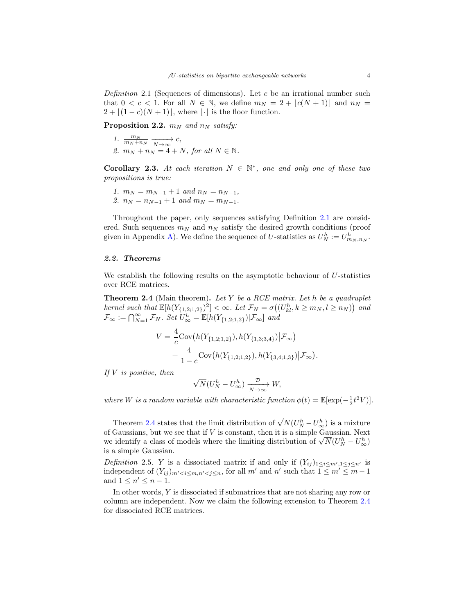<span id="page-3-0"></span>Definition 2.1 (Sequences of dimensions). Let  $c$  be an irrational number such that  $0 < c < 1$ . For all  $N \in \mathbb{N}$ , we define  $m_N = 2 + |c(N + 1)|$  and  $n_N =$  $2 + |(1 - c)(N + 1)|$ , where  $|\cdot|$  is the floor function.

**Proposition 2.2.**  $m_N$  and  $n_N$  satisfy:

<span id="page-3-2"></span>1.  $\frac{m_N}{m_N + n_N} \xrightarrow[N \to \infty]{} c,$ 2.  $m_N + n_N = 4 + N$ , for all  $N \in \mathbb{N}$ .

Corollary 2.3. At each iteration  $N \in \mathbb{N}^*$ , one and only one of these two propositions is true:

<span id="page-3-3"></span>1.  $m_N = m_{N-1} + 1$  and  $n_N = n_{N-1}$ , 2.  $n_N = n_{N-1} + 1$  and  $m_N = m_{N-1}$ .

Throughout the paper, only sequences satisfying Definition [2.1](#page-3-0) are considered. Such sequences  $m_N$  and  $n_N$  satisfy the desired growth conditions (proof given in Appendix [A\)](#page-16-0). We define the sequence of U-statistics as  $U_N^h := U_{m_N,n_N}^h$ .

#### 2.2. Theorems

We establish the following results on the asymptotic behaviour of U-statistics over RCE matrices.

<span id="page-3-1"></span>**Theorem 2.4** (Main theorem). Let Y be a RCE matrix. Let h be a quadruplet kernel such that  $\mathbb{E}[h(Y_{\{1,2;1,2\}})^2] < \infty$ . Let  $\mathcal{F}_N = \sigma((U_{kl}^h, k \geq m_N, l \geq n_N))$  and  $\mathcal{F}_{\infty} := \bigcap_{N=1}^{\infty} \mathcal{F}_N$ . Set  $U_{\infty}^h = \mathbb{E}[h(Y_{\{1,2;1,2\}})|\mathcal{F}_{\infty}]$  and

$$
V = \frac{4}{c} \text{Cov}\big(h(Y_{\{1,2;1,2\}}), h(Y_{\{1,3;3,4\}}) | \mathcal{F}_{\infty}\big) + \frac{4}{1-c} \text{Cov}\big(h(Y_{\{1,2;1,2\}}), h(Y_{\{3,4;1,3\}}) | \mathcal{F}_{\infty}\big).
$$

If  $V$  is positive, then

$$
\sqrt{N}(U_N^h - U_\infty^h) \xrightarrow[N \to \infty]{\mathcal{D}} W,
$$

where W is a random variable with characteristic function  $\phi(t) = \mathbb{E}[\exp(-\frac{1}{2}t^2V)].$ 

Theorem [2.4](#page-3-1) states that the limit distribution of  $\sqrt{N}(U_N^h-U_\infty^h)$  is a mixture of Gaussians, but we see that if  $V$  is constant, then it is a simple Gaussian. Next or Gaussians, but we see that if *V* is constant, then it is a simple Gaussian. Next<br>we identify a class of models where the limiting distribution of  $\sqrt{N}(U_N^h - U_\infty^h)$ is a simple Gaussian.

Definition 2.5. Y is a dissociated matrix if and only if  $(Y_{ij})_{1 \leq i \leq m', 1 \leq j \leq n'}$  is independent of  $(Y_{ij})_{m' < i \leq m, n' < j \leq n}$ , for all m' and n' such that  $1 \leq m' \leq m-1$ and  $1 \leq n' \leq n-1$ .

In other words, Y is dissociated if submatrices that are not sharing any row or column are independent. Now we claim the following extension to Theorem [2.4](#page-3-1) for dissociated RCE matrices.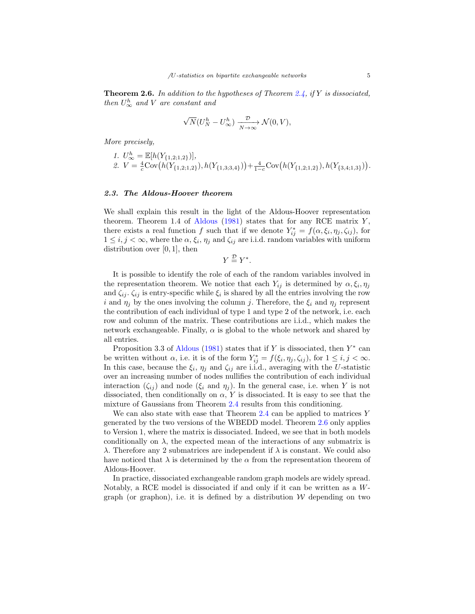**Theorem 2.6.** In addition to the hypotheses of Theorem [2.4,](#page-3-1) if Y is dissociated, then  $U^h_{\infty}$  and V are constant and

$$
\sqrt{N}(U_N^h - U_\infty^h) \xrightarrow[N \to \infty]{\mathcal{D}} \mathcal{N}(0, V),
$$

More precisely,

<span id="page-4-0"></span>1. 
$$
U^h_{\infty} = \mathbb{E}[h(Y_{\{1,2;1,2\}})],
$$
  
2.  $V = \frac{4}{c} \text{Cov}(h(Y_{\{1,2;1,2\}}), h(Y_{\{1,3;3,4\}})) + \frac{4}{1-c} \text{Cov}(h(Y_{\{1,2;1,2\}}), h(Y_{\{3,4;1,3\}})).$ 

#### 2.3. The Aldous-Hoover theorem

We shall explain this result in the light of the Aldous-Hoover representation theorem. Theorem 1.4 of [Aldous](#page-28-6) [\(1981\)](#page-28-6) states that for any RCE matrix  $Y$ , there exists a real function f such that if we denote  $Y_{ij}^* = f(\alpha, \xi_i, \eta_j, \zeta_{ij})$ , for  $1 \leq i, j < \infty$ , where the  $\alpha, \xi_i, \eta_j$  and  $\zeta_{ij}$  are i.i.d. random variables with uniform distribution over  $[0, 1]$ , then

 $Y \stackrel{\mathcal{D}}{=} Y^*$ .

It is possible to identify the role of each of the random variables involved in the representation theorem. We notice that each  $Y_{ij}$  is determined by  $\alpha, \xi_i, \eta_j$ and  $\zeta_{ij}$ .  $\zeta_{ij}$  is entry-specific while  $\xi_i$  is shared by all the entries involving the row i and  $\eta_j$  by the ones involving the column j. Therefore, the  $\xi_i$  and  $\eta_j$  represent the contribution of each individual of type 1 and type 2 of the network, i.e. each row and column of the matrix. These contributions are i.i.d., which makes the network exchangeable. Finally,  $\alpha$  is global to the whole network and shared by all entries.

Proposition 3.3 of [Aldous](#page-28-6) [\(1981\)](#page-28-6) states that if Y is dissociated, then  $Y^*$  can be written without  $\alpha$ , i.e. it is of the form  $Y_{ij}^* = f(\xi_i, \eta_j, \zeta_{ij})$ , for  $1 \leq i, j < \infty$ . In this case, because the  $\xi_i$ ,  $\eta_j$  and  $\zeta_{ij}$  are i.i.d., averaging with the U-statistic over an increasing number of nodes nullifies the contribution of each individual interaction  $(\zeta_{ij})$  and node  $(\xi_i \text{ and } \eta_j)$ . In the general case, i.e. when Y is not dissociated, then conditionally on  $\alpha$ , Y is dissociated. It is easy to see that the mixture of Gaussians from Theorem [2.4](#page-3-1) results from this conditioning.

We can also state with ease that Theorem  $2.4$  can be applied to matrices Y generated by the two versions of the WBEDD model. Theorem [2.6](#page-4-0) only applies to Version 1, where the matrix is dissociated. Indeed, we see that in both models conditionally on  $\lambda$ , the expected mean of the interactions of any submatrix is λ. Therefore any 2 submatrices are independent if λ is constant. We could also have noticed that  $\lambda$  is determined by the  $\alpha$  from the representation theorem of Aldous-Hoover.

In practice, dissociated exchangeable random graph models are widely spread. Notably, a RCE model is dissociated if and only if it can be written as a Wgraph (or graphon), i.e. it is defined by a distribution  $W$  depending on two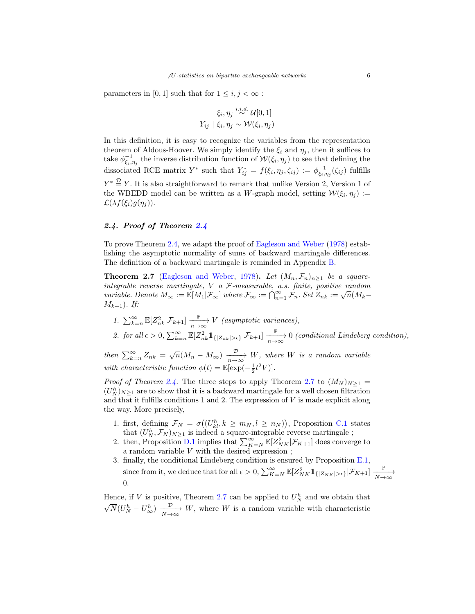parameters in [0, 1] such that for  $1 \leq i, j < \infty$ :

$$
\xi_i, \eta_j \stackrel{i.i.d.}{\sim} \mathcal{U}[0,1]
$$

$$
Y_{ij} \mid \xi_i, \eta_j \sim \mathcal{W}(\xi_i, \eta_j)
$$

In this definition, it is easy to recognize the variables from the representation theorem of Aldous-Hoover. We simply identify the  $\xi_i$  and  $\eta_j$ , then it suffices to take  $\phi_{\xi_i,\eta_j}^{-1}$  the inverse distribution function of  $W(\xi_i,\eta_j)$  to see that defining the dissociated RCE matrix  $Y^*$  such that  $Y^*_{ij} = f(\xi_i, \eta_j, \zeta_{ij}) := \phi_{\xi_i, \eta_j}^{-1}(\zeta_{ij})$  fulfills  $Y^* \stackrel{\mathcal{D}}{=} Y$ . It is also straightforward to remark that unlike Version 2, Version 1 of the WBEDD model can be written as a W-graph model, setting  $W(\xi_i, \eta_j) :=$  $\mathcal{L}(\lambda f(\xi_i)g(\eta_j)).$ 

# 2.4. Proof of Theorem [2.4](#page-3-1)

To prove Theorem [2.4,](#page-3-1) we adapt the proof of [Eagleson and Weber](#page-28-2) [\(1978\)](#page-28-2) establishing the asymptotic normality of sums of backward martingale differences. The definition of a backward martingale is reminded in Appendix [B.](#page-17-0)

**Theorem 2.7** [\(Eagleson and Weber,](#page-28-2) [1978\)](#page-28-2). Let  $(M_n, \mathcal{F}_n)_{n \geq 1}$  be a squareintegrable reverse martingale, V a F-measurable, a.s. finite, positive random variable. Denote  $M_{\infty} := \mathbb{E}[M_1 | \mathcal{F}_{\infty}]$  where  $\mathcal{F}_{\infty} := \bigcap_{n=1}^{\infty} \mathcal{F}_n$ . Set  $Z_{nk} := \sqrt{n} (M_k M_{k+1}$ ). If:

<span id="page-5-0"></span>1.  $\sum_{k=n}^{\infty} \mathbb{E}[Z_{nk}^2 | \mathcal{F}_{k+1}] \xrightarrow[n \to \infty]{\mathbb{P}} V$  (asymptotic variances), 2. for all  $\epsilon > 0$ ,  $\sum_{k=n}^{\infty} \mathbb{E}[Z_{nk}^2 \mathbb{1}_{\{|Z_{nk}| > \epsilon\}} | \mathcal{F}_{k+1}] \xrightarrow[n \to \infty]{\mathbb{P}} 0$  (conditional Lindeberg condition),

then  $\sum_{k=n}^{\infty} Z_{nk} = \sqrt{n}(M_n - M_\infty) \xrightarrow[n \to \infty]{\mathcal{D}} W$ , where W is a random variable with characteristic function  $\phi(t) = \mathbb{E}[\exp(-\frac{1}{2}t^2V)].$ 

*Proof of Theorem [2.4.](#page-3-1)* The three steps to apply Theorem [2.7](#page-5-0) to  $(M_N)_{N\geq 1}$  =  $(U_{N}^{h})_{N\geq 1}$  are to show that it is a backward martingale for a well chosen filtration and that it fulfills conditions 1 and 2. The expression of  $V$  is made explicit along the way. More precisely,

- 1. first, defining  $\mathcal{F}_N = \sigma((U_{kl}^h, k \geq m_N, l \geq n_N))$ , Proposition [C.1](#page-17-1) states that  $(U_N^h, \mathcal{F}_N)_{N \geq 1}$  is indeed a square-integrable reverse martingale;
- 2. then, Proposition [D.1](#page-18-0) implies that  $\sum_{K=N}^{\infty} \mathbb{E}[Z_{NK}^2 | \mathcal{F}_{K+1}]$  does converge to a random variable  $V$  with the desired expression ;
- 3. finally, the conditional Lindeberg condition is ensured by Proposition [E.1,](#page-23-0) since from it, we deduce that for all  $\epsilon > 0$ ,  $\sum_{K=N}^{\infty} \mathbb{E}[Z_{NK}^2 1_{\{|Z_{NK}| > \epsilon\}} | \mathcal{F}_{K+1}] \xrightarrow[N \to \infty]{\mathbb{P}}$ 0.

Hence, if V is positive, Theorem [2.7](#page-5-0) can be applied to  $U_N^h$  and we obtain that √  $\overline{N}(U_N^h - U_\infty^h) \xrightarrow[N \to \infty]{\mathcal{D}} W$ , where W is a random variable with characteristic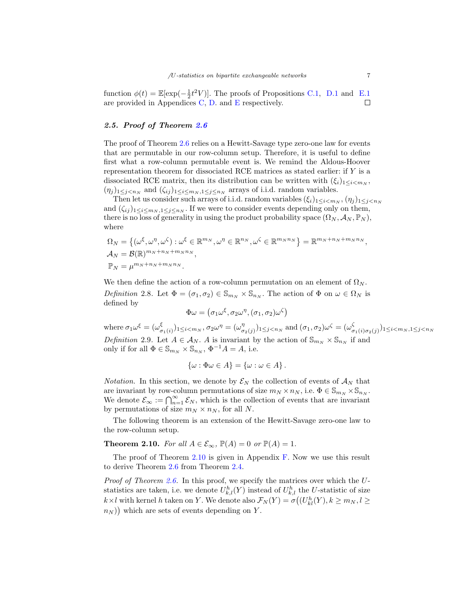function  $\phi(t) = \mathbb{E}[\exp(-\frac{1}{2}t^2V)]$ . The proofs of Propositions [C.1,](#page-17-1) [D.1](#page-18-0) and [E.1](#page-23-0) are provided in Appendices [C,](#page-17-2) [D.](#page-18-1) and [E](#page-23-1) respectively.  $\Box$ 

## 2.5. Proof of Theorem [2.6](#page-4-0)

The proof of Theorem [2.6](#page-4-0) relies on a Hewitt-Savage type zero-one law for events that are permutable in our row-column setup. Therefore, it is useful to define first what a row-column permutable event is. We remind the Aldous-Hoover representation theorem for dissociated RCE matrices as stated earlier: if Y is a dissociated RCE matrix, then its distribution can be written with  $(\xi_i)_{1 \leq i \leq m_N}$ ,  $(\eta_j)_{1\leq j < n_N}$  and  $(\zeta_{ij})_{1\leq i \leq m_N, 1\leq j \leq n_N}$  arrays of i.i.d. random variables.

Then let us consider such arrays of i.i.d. random variables  $(\xi_i)_{1\leq i \leq m_N}, (\eta_j)_{1\leq j \leq n_N}$ and  $(\zeta_{ij})_{1\leq i\leq m_N, 1\leq j\leq n_N}$ . If we were to consider events depending only on them, there is no loss of generality in using the product probability space  $(\Omega_N, \mathcal{A}_N, \mathbb{P}_N)$ , where

$$
\Omega_N = \{ (\omega^{\xi}, \omega^{\eta}, \omega^{\zeta}) : \omega^{\xi} \in \mathbb{R}^{m_N}, \omega^{\eta} \in \mathbb{R}^{n_N}, \omega^{\zeta} \in \mathbb{R}^{m_N n_N} \} = \mathbb{R}^{m_N + n_N + m_N n_N},
$$
  
\n
$$
\mathbb{P}_N = \mu^{m_N + n_N + m_N n_N}.
$$

We then define the action of a row-column permutation on an element of  $\Omega_N$ . Definition 2.8. Let  $\Phi = (\sigma_1, \sigma_2) \in \mathbb{S}_{m_N} \times \mathbb{S}_{n_N}$ . The action of  $\Phi$  on  $\omega \in \Omega_N$  is defined by

$$
\Phi\omega = (\sigma_1\omega^\xi, \sigma_2\omega^\eta, (\sigma_1, \sigma_2)\omega^\zeta)
$$

where  $\sigma_1 \omega^\xi = (\omega_\sigma^\xi)$  $(\xi_{\sigma_1(i)})_{1\leq i$  $\sigma_{\sigma^2(j)})_{1 \leq j < n_N}$  and  $(\sigma_1, \sigma_2) \omega^{\zeta} = (\omega_{\sigma}^{\zeta})$  $\frac{1}{\sigma_1(i)\sigma_2(j)})_{1 \leq i < m_N, 1 \leq j < n_N}$ Definition 2.9. Let  $A \in \mathcal{A}_N$ . A is invariant by the action of  $\mathbb{S}_{m_N} \times \mathbb{S}_{n_N}$  if and only if for all  $\Phi \in \mathbb{S}_{m_N} \times \mathbb{S}_{n_N}$ ,  $\Phi^{-1}A = A$ , i.e.

$$
\{\omega : \Phi \omega \in A\} = \{\omega : \omega \in A\}.
$$

*Notation*. In this section, we denote by  $\mathcal{E}_N$  the collection of events of  $\mathcal{A}_N$  that are invariant by row-column permutations of size  $m_N \times n_N$ , i.e.  $\Phi \in \mathbb{S}_{m_N} \times \mathbb{S}_{n_N}$ . We denote  $\mathcal{E}_{\infty} := \bigcap_{n=1}^{\infty} \mathcal{E}_N$ , which is the collection of events that are invariant by permutations of size  $m_N \times n_N$ , for all N.

The following theorem is an extension of the Hewitt-Savage zero-one law to the row-column setup.

<span id="page-6-0"></span>**Theorem 2.10.** For all  $A \in \mathcal{E}_{\infty}$ ,  $\mathbb{P}(A) = 0$  or  $\mathbb{P}(A) = 1$ .

The proof of Theorem [2.10](#page-6-0) is given in Appendix [F.](#page-26-0) Now we use this result to derive Theorem [2.6](#page-4-0) from Theorem [2.4.](#page-3-1)

Proof of Theorem [2.6.](#page-4-0) In this proof, we specify the matrices over which the Ustatistics are taken, i.e. we denote  $U_{k,l}^h(Y)$  instead of  $U_{k,l}^h$  the U-statistic of size  $k \times l$  with kernel h taken on Y. We denote also  $\mathcal{F}_N(Y) = \sigma((U_{kl}^h(Y), k \ge m_N, l \ge$  $(n_N)$  which are sets of events depending on Y.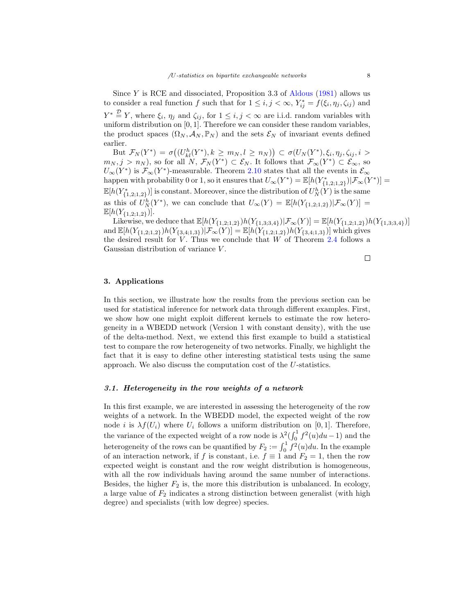Since  $Y$  is RCE and dissociated, Proposition 3.3 of [Aldous](#page-28-6) [\(1981\)](#page-28-6) allows us to consider a real function f such that for  $1 \leq i, j < \infty$ ,  $Y_{ij}^* = f(\xi_i, \eta_j, \zeta_{ij})$  and  $Y^* \stackrel{\mathcal{D}}{=} Y$ , where  $\xi_i$ ,  $\eta_j$  and  $\zeta_{ij}$ , for  $1 \leq i, j < \infty$  are i.i.d. random variables with uniform distribution on  $[0, 1]$ . Therefore we can consider these random variables, the product spaces  $(\Omega_N, \mathcal{A}_N, \mathbb{P}_N)$  and the sets  $\mathcal{E}_N$  of invariant events defined earlier.

But  $\mathcal{F}_N(Y^*) = \sigma((U^h_{kl}(Y^*), k \ge m_N, l \ge n_N)) \subset \sigma(U_N(Y^*), \xi_i, \eta_j, \zeta_{ij}, i >$  $m_N, j > n_N$ , so for all N,  $\mathcal{F}_N(Y^*) \subset \mathcal{E}_N$ . It follows that  $\mathcal{F}_{\infty}(Y^*) \subset \mathcal{E}_{\infty}$ , so  $U_{\infty}(Y^*)$  is  $\mathcal{F}_{\infty}(Y^*)$ -measurable. Theorem [2.10](#page-6-0) states that all the events in  $\mathcal{E}_{\infty}$ happen with probability 0 or 1, so it ensures that  $U_{\infty}(Y^*) = \mathbb{E}[h(Y^*_{\{1,2;1,2\}})|\mathcal{F}_{\infty}(Y^*)] =$  $\mathbb{E}[h(Y_{\{1,2;1,2\}}^*)]$  is constant. Moreover, since the distribution of  $U_N^h(Y)$  is the same as this of  $\hat{U}_N^h(Y^*)$ , we can conclude that  $U_\infty(Y) = \mathbb{E}[h(Y_{\{1,2;1,2\}})|\mathcal{F}_\infty(Y)] =$  $\mathbb{E}[h(Y_{\{1,2;1,2\}})].$ 

Likewise, we deduce that  $\mathbb{E}[h(Y_{\{1,2;1,2\}})h(Y_{\{1,3;3,4\}})|\mathcal{F}_{\infty}(Y)] = \mathbb{E}[h(Y_{\{1,2;1,2\}})h(Y_{\{1,3;3,4\}})]$ and  $\mathbb{E}[h(Y_{\{1,2;1,2\}})h(Y_{\{3,4;1,3\}})|\mathcal{F}_{\infty}(Y)] = \mathbb{E}[h(Y_{\{1,2;1,2\}})h(Y_{\{3,4;1,3\}})]$  which gives the desired result for  $V$ . Thus we conclude that  $W$  of Theorem [2.4](#page-3-1) follows a Gaussian distribution of variance V .

 $\Box$ 

# <span id="page-7-0"></span>3. Applications

In this section, we illustrate how the results from the previous section can be used for statistical inference for network data through different examples. First, we show how one might exploit different kernels to estimate the row heterogeneity in a WBEDD network (Version 1 with constant density), with the use of the delta-method. Next, we extend this first example to build a statistical test to compare the row heterogeneity of two networks. Finally, we highlight the fact that it is easy to define other interesting statistical tests using the same approach. We also discuss the computation cost of the U-statistics.

## <span id="page-7-1"></span>3.1. Heterogeneity in the row weights of a network

In this first example, we are interested in assessing the heterogeneity of the row weights of a network. In the WBEDD model, the expected weight of the row node i is  $\lambda f(U_i)$  where  $U_i$  follows a uniform distribution on [0, 1]. Therefore, the variance of the expected weight of a row node is  $\lambda^2 \left(\int_0^1 f^2(u) du - 1\right)$  and the heterogeneity of the rows can be quantified by  $F_2 := \int_0^1 f^2(u) du$ . In the example of an interaction network, if f is constant, i.e.  $f \equiv 1$  and  $F_2 = 1$ , then the row expected weight is constant and the row weight distribution is homogeneous, with all the row individuals having around the same number of interactions. Besides, the higher  $F_2$  is, the more this distribution is unbalanced. In ecology, a large value of  $F_2$  indicates a strong distinction between generalist (with high degree) and specialists (with low degree) species.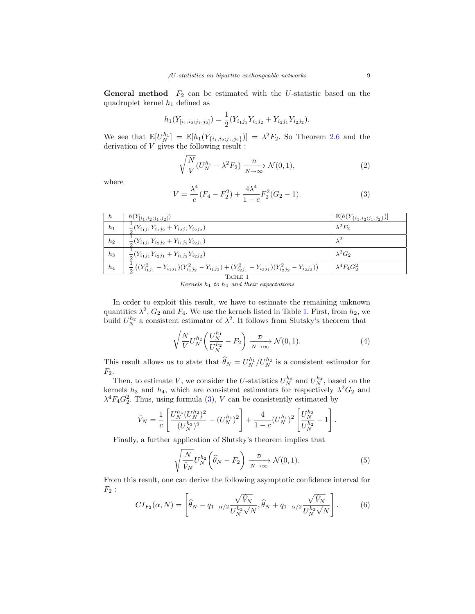**General method**  $F_2$  can be estimated with the U-statistic based on the quadruplet kernel  $h_1$  defined as

$$
h_1(Y_{[i_1,i_2;j_1,j_2]}) = \frac{1}{2}(Y_{i_1j_1}Y_{i_1j_2} + Y_{i_2j_1}Y_{i_2j_2}).
$$

We see that  $\mathbb{E}[U_N^{h_1}] = \mathbb{E}[h_1(Y_{\{i_1,i_2;j_1,j_2\}})] = \lambda^2 F_2$ . So Theorem [2.6](#page-4-0) and the derivation of V gives the following result :

<span id="page-8-2"></span>
$$
\sqrt{\frac{N}{V}} (U_N^{h_1} - \lambda^2 F_2) \xrightarrow[N \to \infty]{\mathcal{D}} \mathcal{N}(0, 1),
$$
\n(2)

where

<span id="page-8-1"></span>
$$
V = \frac{\lambda^4}{c}(F_4 - F_2^2) + \frac{4\lambda^4}{1 - c}F_2^2(G_2 - 1).
$$
 (3)

| $\sqrt{h}$     | $h(Y_{[i_1,i_2;j_1,j_2]})$                                                                                                      | $\mathbb{E}[h(Y_{\{i_1,i_2;j_1,j_2\}})]$ |  |
|----------------|---------------------------------------------------------------------------------------------------------------------------------|------------------------------------------|--|
| h <sub>1</sub> | $\frac{1}{2}(Y_{i_1j_1}Y_{i_1j_2}+Y_{i_2j_1}Y_{i_2j_2})$                                                                        | $\lambda^2 F_2$                          |  |
| h <sub>2</sub> | $\frac{1}{2}(Y_{i_1j_1}Y_{i_2j_2}+Y_{i_1j_2}Y_{i_2j_1})$                                                                        | $\lambda^2$                              |  |
| $h_3$          | $\frac{1}{2}(Y_{i_1j_1}Y_{i_2j_1}+Y_{i_1j_2}Y_{i_2j_2})$                                                                        | $\lambda^2 G_2$                          |  |
| $h_4$          | $\frac{1}{2}\left((Y_{i_1j_1}^2-Y_{i_1j_1})(Y_{i_1j_2}^2-Y_{i_1j_2})+(Y_{i_2j_1}^2-Y_{i_2j_1})(Y_{i_2j_2}^2-Y_{i_2j_2})\right)$ | $\lambda^4 F_4 G_2^2$                    |  |
| TABLE 1        |                                                                                                                                 |                                          |  |

Kernels  $h_1$  to  $h_4$  and their expectations

<span id="page-8-0"></span>In order to exploit this result, we have to estimate the remaining unknown quantities  $\lambda^2$ ,  $G_2$  and  $F_4$ . We use the kernels listed in Table [1.](#page-8-0) First, from  $h_2$ , we build  $U_N^{h_2}$  a consistent estimator of  $\lambda^2$ . It follows from Slutsky's theorem that

<span id="page-8-3"></span>
$$
\sqrt{\frac{N}{V}} U_N^{h_2} \left( \frac{U_N^{h_1}}{U_N^{h_2}} - F_2 \right) \xrightarrow[N \to \infty]{\mathcal{D}} \mathcal{N}(0, 1). \tag{4}
$$

This result allows us to state that  $\widehat{\theta}_N = U_N^{h_1}/U_N^{h_2}$  is a consistent estimator for  $F_2$ .

Then, to estimate V, we consider the U-statistics  $U_N^{h_3}$  and  $U_N^{h_4}$ , based on the kernels  $h_3$  and  $h_4$ , which are consistent estimators for respectively  $\lambda^2 G_2$  and  $\lambda^4 F_4 G_2^2$ . Thus, using formula [\(3\)](#page-8-1), V can be consistently estimated by

$$
\hat{V}_N = \frac{1}{c} \left[ \frac{U_N^{h_4} (U_N^{h_2})^2}{(U_N^{h_3})^2} - (U_N^{h_1})^2 \right] + \frac{4}{1-c} (U_N^{h_1})^2 \left[ \frac{U_N^{h_3}}{U_N^{h_2}} - 1 \right].
$$

Finally, a further application of Slutsky's theorem implies that

<span id="page-8-4"></span>
$$
\sqrt{\frac{N}{\hat{V}_N}} U_N^{h_2} \left(\hat{\theta}_N - F_2\right) \xrightarrow[N \to \infty]{\mathcal{D}} \mathcal{N}(0, 1). \tag{5}
$$

From this result, one can derive the following asymptotic confidence interval for  $F_2$ :

$$
CI_{F_2}(\alpha, N) = \left[ \widehat{\theta}_N - q_{1-\alpha/2} \frac{\sqrt{\widehat{V}_N}}{U_N^{h_2} \sqrt{N}}, \widehat{\theta}_N + q_{1-\alpha/2} \frac{\sqrt{\widehat{V}_N}}{U_N^{h_2} \sqrt{N}} \right].
$$
 (6)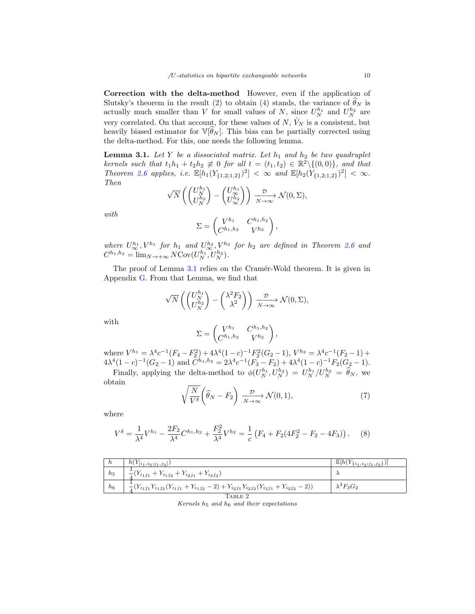Correction with the delta-method However, even if the application of Slutsky's theorem in the result [\(2\)](#page-8-2) to obtain [\(4\)](#page-8-3) stands, the variance of  $\hat{\theta}_N$  is actually much smaller than V for small values of N, since  $U_N^{h_1}$  and  $U_N^{h_2}$  are very correlated. On that account, for these values of  $N$ ,  $\hat{V}_N$  is a consistent, but heavily biased estimator for  $\mathbb{V}[\hat{\theta}_N]$ . This bias can be partially corrected using the delta-method. For this, one needs the following lemma.

<span id="page-9-0"></span>**Lemma 3.1.** Let Y be a dissociated matrix. Let  $h_1$  and  $h_2$  be two quadruplet kernels such that  $t_1h_1 + t_2h_2 \neq 0$  for all  $t = (t_1, t_2) \in \mathbb{R}^2 \setminus \{(0, 0)\},$  and that Theorem [2.6](#page-4-0) applies, i.e.  $\mathbb{E}[h_1(Y_{\{1,2;1,2\}})^2] < \infty$  and  $\mathbb{E}[h_2(Y_{\{1,2;1,2\}})^2] < \infty$ . Then

$$
\sqrt{N} \left( \begin{pmatrix} U_N^{h_1} \\ U_N^{h_2} \end{pmatrix} - \begin{pmatrix} U_{\infty}^{h_1} \\ U_{\infty}^{h_2} \end{pmatrix} \right) \xrightarrow[N \to \infty]{\mathcal{D}} \mathcal{N}(0, \Sigma),
$$

$$
\Sigma = \begin{pmatrix} V^{h_1} & C^{h_1, h_2} \\ C^{h_1, h_2} & V^{h_2} \end{pmatrix},
$$

with

$$
\angle \text{---} \begin{pmatrix} C^{h_1, h_2} & V^{h_2} \end{pmatrix},
$$
  
where  $U_{\infty}^{h_1}$ ,  $V^{h_1}$  for  $h_1$  and  $U_{\infty}^{h_2}$ ,  $V^{h_2}$  for  $h_2$  are defined in Theorem 2.6 and  
 $C^{h_1, h_2} = \lim_{N \to +\infty} N \text{Cov}(U_N^{h_1}, U_N^{h_2}).$ 

The proof of Lemma [3.1](#page-9-0) relies on the Cramér-Wold theorem. It is given in Appendix [G.](#page-26-1) From that Lemma, we find that

$$
\sqrt{N}\left(\begin{pmatrix} U_N^{h_1} \\ U_N^{h_2} \end{pmatrix} - \begin{pmatrix} \lambda^2 F_2 \\ \lambda^2 \end{pmatrix} \right) \xrightarrow[N \to \infty]{\mathcal{D}} \mathcal{N}(0, \Sigma),
$$

with

$$
\Sigma = \begin{pmatrix} V^{h_1} & C^{h_1, h_2} \\ C^{h_1, h_2} & V^{h_2} \end{pmatrix},
$$

where  $V^{h_1} = \lambda^4 c^{-1} (F_4 - F_2^2) + 4\lambda^4 (1 - c)^{-1} F_2^2 (G_2 - 1), V^{h_2} = \lambda^4 c^{-1} (F_2 - 1) +$  $4\lambda^4(1-c)^{-1}(G_2-1)$  and  $C^{h_1,h_2}=2\lambda^4c^{-1}(F_3-F_2)+4\lambda^4(1-c)^{-1}F_2(G_2-1)$ .

Finally, applying the delta-method to  $\phi(U_N^{h_1}, U_N^{h_2}) = U_N^{h_1}/U_N^{h_2} = \hat{\theta}_N$ , we obtain

<span id="page-9-3"></span>
$$
\sqrt{\frac{N}{V^{\delta}}} \left( \widehat{\theta}_N - F_2 \right) \xrightarrow[N \to \infty]{\mathcal{D}} \mathcal{N}(0, 1), \tag{7}
$$

where

<span id="page-9-1"></span>
$$
V^{\delta} = \frac{1}{\lambda^4} V^{h_1} - \frac{2F_2}{\lambda^4} C^{h_1, h_2} + \frac{F_2^2}{\lambda^4} V^{h_2} = \frac{1}{c} \left( F_4 + F_2 (4F_2^2 - F_2 - 4F_3) \right). \tag{8}
$$

<span id="page-9-2"></span>

| h                | $h(Y_{[i_1,i_2;j_1,j_2]})$                                                                                 | $\mathbb{E}[h(Y_{\{i_1,i_2;j_1,j_2\}})]$ |  |
|------------------|------------------------------------------------------------------------------------------------------------|------------------------------------------|--|
| $\mathfrak{h}_5$ | $\frac{1}{4}(Y_{i_1j_1}+Y_{i_1j_2}+Y_{i_2j_1}+Y_{i_2j_2})$                                                 |                                          |  |
| $h_6$            | $\frac{1}{4}(Y_{i_1j_1}Y_{i_1j_2}(Y_{i_1j_1}+Y_{i_1j_2}-2)+Y_{i_2j_1}Y_{i_2j_2}(Y_{i_2j_1}+Y_{i_2j_2}-2))$ | $\lambda^3 F_3 G_2$                      |  |
| TABLE 2          |                                                                                                            |                                          |  |

Kernels  $h_5$  and  $h_6$  and their expectations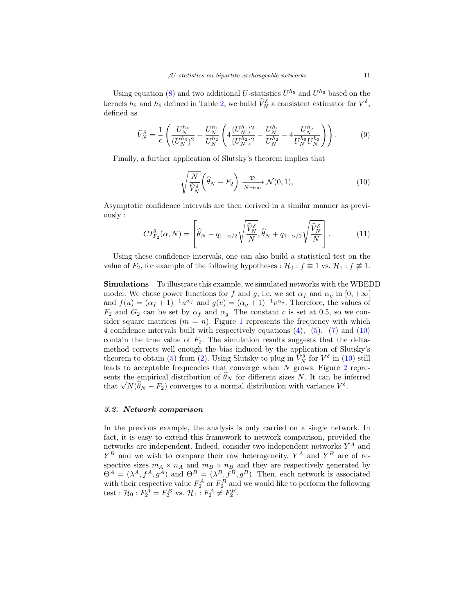Using equation [\(8\)](#page-9-1) and two additional U-statistics  $U^{h_5}$  and  $U^{h_6}$  based on the kernels  $h_5$  and  $h_6$  defined in Table [2,](#page-9-2) we build  $\widehat{V}_N^{\delta}$  a consistent estimator for  $V^{\delta}$ , defined as

<span id="page-10-1"></span>
$$
\widehat{V}_{N}^{\delta} = \frac{1}{c} \left( \frac{U_{N}^{h_4}}{(U_{N}^{h_3})^2} + \frac{U_{N}^{h_1}}{U_{N}^{h_2}} \left( 4 \frac{(U_{N}^{h_1})^2}{(U_{N}^{h_2})^2} - \frac{U_{N}^{h_1}}{U_{N}^{h_2}} - 4 \frac{U_{N}^{h_6}}{U_{N}^{h_5} U_{N}^{h_3}} \right) \right). \tag{9}
$$

Finally, a further application of Slutsky's theorem implies that

<span id="page-10-0"></span>
$$
\sqrt{\frac{N}{\hat{V}_N^{\delta}}} \left( \hat{\theta}_N - F_2 \right) \xrightarrow[N \to \infty]{\mathcal{D}} \mathcal{N}(0, 1), \tag{10}
$$

Asymptotic confidence intervals are then derived in a similar manner as previously :

$$
CI_{F_2}^{\delta}(\alpha, N) = \left[ \widehat{\theta}_N - q_{1-\alpha/2} \sqrt{\frac{\widehat{V}_N^{\delta}}{N}}, \widehat{\theta}_N + q_{1-\alpha/2} \sqrt{\frac{\widehat{V}_N^{\delta}}{N}} \right].
$$
 (11)

Using these confidence intervals, one can also build a statistical test on the value of  $F_2$ , for example of the following hypotheses :  $\mathcal{H}_0 : f \equiv 1$  vs.  $\mathcal{H}_1 : f \not\equiv 1$ .

Simulations To illustrate this example, we simulated networks with the WBEDD model. We chose power functions for f and g, i.e. we set  $\alpha_f$  and  $\alpha_g$  in  $[0, +\infty[$ and  $f(u) = (\alpha_f + 1)^{-1}u^{\alpha_f}$  and  $g(v) = (\alpha_g + 1)^{-1}v^{\alpha_g}$ . Therefore, the values of  $F_2$  and  $G_2$  can be set by  $\alpha_f$  and  $\alpha_g$ . The constant c is set at 0.5, so we consider square matrices  $(m = n)$ . Figure [1](#page-11-0) represents the frequency with which 4 confidence intervals built with respectively equations [\(4\)](#page-8-3), [\(5\)](#page-8-4), [\(7\)](#page-9-3) and [\(10\)](#page-10-0) contain the true value of  $F_2$ . The simulation results suggests that the deltamethod corrects well enough the bias induced by the application of Slutsky's theorem to obtain [\(5\)](#page-8-4) from [\(2\)](#page-8-2). Using Slutsky to plug in  $\hat{V}_N^{\delta}$  for  $V^{\delta}$  in [\(10\)](#page-10-0) still leads to acceptable frequencies that converge when  $N$  grows. Figure  $2$  represents the empirical distribution of  $\theta_N$  for different sizes N. It can be inferred sents the empirical distribution of  $\theta_N$  for different sizes  $N$ . It can be in that  $\sqrt{N}(\hat{\theta}_N - F_2)$  converges to a normal distribution with variance  $V^{\delta}$ .

## <span id="page-10-2"></span>3.2. Network comparison

In the previous example, the analysis is only carried on a single network. In fact, it is easy to extend this framework to network comparison, provided the networks are independent. Indeed, consider two independent networks  $Y^A$  and  $Y^B$  and we wish to compare their row heterogeneity.  $Y^A$  and  $Y^B$  are of respective sizes  $m_A \times n_A$  and  $m_B \times n_B$  and they are respectively generated by  $\Theta^{A} = (\lambda^{A}, f^{A}, g^{A})$  and  $\Theta^{B} = (\lambda^{B}, f^{B}, g^{B})$ . Then, each network is associated with their respective value  $F_2^A$  or  $F_2^B$  and we would like to perform the following test :  $\mathcal{H}_0$  :  $F_2^A = F_2^B$  vs.  $\mathcal{H}_1$  :  $F_2^A \neq F_2^B$ .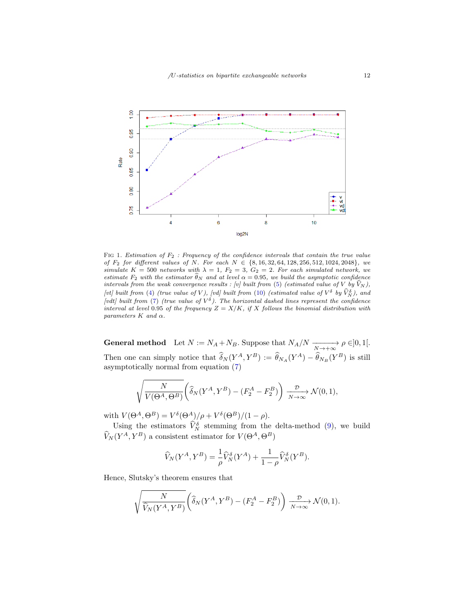

<span id="page-11-0"></span>FIG 1. Estimation of  $F_2$ : Frequency of the confidence intervals that contain the true value of  $F_2$  for different values of N. For each  $N \in \{8, 16, 32, 64, 128, 256, 512, 1024, 2048\}$ , we simulate  $K = 500$  networks with  $\lambda = 1$ ,  $F_2 = 3$ ,  $G_2 = 2$ . For each simulated network, we estimate  $F_2$  with the estimator  $\widehat{\theta}_N$  and at level  $\alpha = 0.95$ , we build the asymptotic confidence intervals from the weak convergence results : [v] built from [\(5\)](#page-8-4) (estimated value of V by  $\hat{V}_N$ ), [vt] built from [\(4\)](#page-8-3) (true value of V), [vd] built from [\(10\)](#page-10-0) (estimated value of  $V^{\delta}$  by  $\widehat{V}_{N}^{\delta}$ ), and (vdt) built from [\(7\)](#page-9-3) (true value of  $V^{\delta}$ ). The horizontal dashed lines represent the confidence interval at level 0.95 of the frequency  $Z = X/K$ , if X follows the binomial distribution with parameters  $K$  and  $\alpha$ .

**General method** Let  $N := N_A + N_B$ . Suppose that  $N_A/N \xrightarrow[N \to +\infty]{} \rho \in ]0,1[$ . Then one can simply notice that  $\delta_N(Y^A, Y^B) := \hat{\theta}_{N_A}(Y^A) - \hat{\theta}_{N_B}(Y^B)$  is still asymptotically normal from equation [\(7\)](#page-9-3)

$$
\sqrt{\frac{N}{V(\Theta^A, \Theta^B)}} \left( \widehat{\delta}_N(Y^A, Y^B) - (F_2^A - F_2^B) \right) \xrightarrow[N \to \infty]{\mathcal{D}} \mathcal{N}(0, 1),
$$

with  $V(\Theta^A, \Theta^B) = V^{\delta}(\Theta^A)/\rho + V^{\delta}(\Theta^B)/(1-\rho)$ .

Using the estimators  $\hat{V}_N^{\delta}$  stemming from the delta-method [\(9\)](#page-10-1), we build  $\widehat{V}_N(Y^A, Y^B)$  a consistent estimator for  $V(\Theta^A, \Theta^B)$ 

$$
\widehat{V}_N(Y^A, Y^B) = \frac{1}{\rho} \widehat{V}_N^{\delta}(Y^A) + \frac{1}{1 - \rho} \widehat{V}_N^{\delta}(Y^B).
$$

Hence, Slutsky's theorem ensures that

$$
\sqrt{\frac{N}{\widehat{V}_N(Y^A, Y^B)}} \left( \widehat{\delta}_N(Y^A, Y^B) - (F_2^A - F_2^B) \right) \xrightarrow[N \to \infty]{\mathcal{D}} \mathcal{N}(0, 1).
$$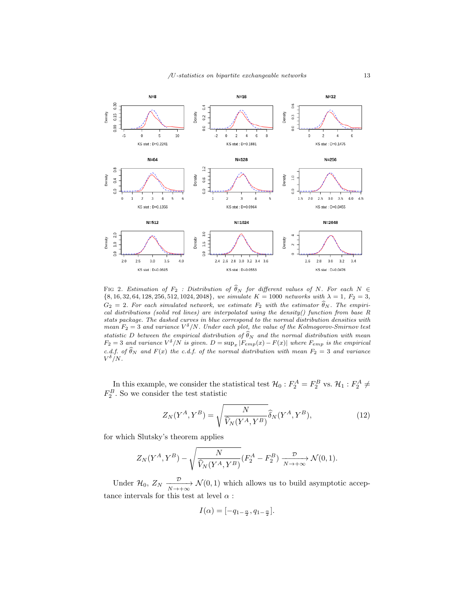

<span id="page-12-0"></span>FIG 2. Estimation of  $F_2$  : Distribution of  $\widehat{\theta}_N$  for different values of N. For each  $N \in$  $\{8, 16, 32, 64, 128, 256, 512, 1024, 2048\}$ , we simulate  $K = 1000$  networks with  $\lambda = 1$ ,  $F_2 = 3$ ,  $G_2 = 2$ . For each simulated network, we estimate  $F_2$  with the estimator  $\widehat{\theta}_N$ . The empirical distributions (solid red lines) are interpolated using the density() function from base R stats package. The dashed curves in blue correspond to the normal distribution densities with mean  $F_2 = 3$  and variance  $V^{\delta}/N$ . Under each plot, the value of the Kolmogorov-Smirnov test statistic D between the empirical distribution of  $\widehat{\theta}_N$  and the normal distribution with mean  $F_2 = 3$  and variance  $V^{\delta}/N$  is given.  $D = \sup_x |F_{emp}(x) - F(x)|$  where  $F_{emp}$  is the empirical c.d.f. of  $\theta_N$  and  $F(x)$  the c.d.f. of the normal distribution with mean  $F_2 = 3$  and variance  $V^{\delta}/N$ .

In this example, we consider the statistical test  $\mathcal{H}_0: F_2^A = F_2^B$  vs.  $\mathcal{H}_1: F_2^A \neq$  $F_2^B$ . So we consider the test statistic

<span id="page-12-1"></span>
$$
Z_N(Y^A, Y^B) = \sqrt{\frac{N}{\widehat{V}_N(Y^A, Y^B)}} \widehat{\delta}_N(Y^A, Y^B), \tag{12}
$$

for which Slutsky's theorem applies

$$
Z_N(Y^A, Y^B) - \sqrt{\frac{N}{\widehat{V}_N(Y^A, Y^B)}} (F_2^A - F_2^B) \xrightarrow[N \to +\infty]{\mathcal{D}} \mathcal{N}(0, 1).
$$

Under  $\mathcal{H}_0$ ,  $Z_N \xrightarrow[N \to +\infty]{\mathcal{D}} \mathcal{N}(0,1)$  which allows us to build asymptotic acceptance intervals for this test at level  $\alpha$  :

$$
I(\alpha) = [-q_{1-\frac{\alpha}{2}}, q_{1-\frac{\alpha}{2}}].
$$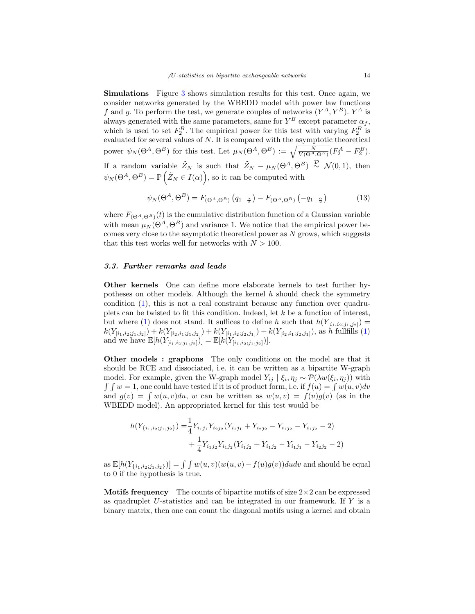Simulations Figure [3](#page-14-0) shows simulation results for this test. Once again, we consider networks generated by the WBEDD model with power law functions f and g. To perform the test, we generate couples of networks  $(Y^A, Y^B)$ .  $Y^A$  is always generated with the same parameters, same for  $Y^B$  except parameter  $\alpha_f$ , which is used to set  $F_2^B$ . The empirical power for this test with varying  $F_2^B$  is evaluated for several values of N. It is compared with the asymptotic theoretical power  $\psi_N(\Theta^A, \Theta^B)$  for this test. Let  $\mu_N(\Theta^A, \Theta^B) := \sqrt{\frac{N}{V(\Theta^A, \Theta^B)}} (F_2^A - F_2^B)$ . If a random variable  $\tilde{Z}_N$  is such that  $\tilde{Z}_N - \mu_N(\Theta^A, \Theta^B) \stackrel{\mathcal{D}}{\sim} \mathcal{N}(0, 1)$ , then  $\psi_N(\Theta^A, \Theta^B) = \mathbb{P}\left(\tilde{Z}_N \in I(\alpha)\right)$ , so it can be computed with

<span id="page-13-0"></span>
$$
\psi_N(\Theta^A, \Theta^B) = F_{(\Theta^A, \Theta^B)} \left( q_{1-\frac{\alpha}{2}} \right) - F_{(\Theta^A, \Theta^B)} \left( -q_{1-\frac{\alpha}{2}} \right) \tag{13}
$$

where  $F_{(\Theta^A, \Theta^B)}(t)$  is the cumulative distribution function of a Gaussian variable with mean  $\mu_N(\Theta^A, \Theta^B)$  and variance 1. We notice that the empirical power becomes very close to the asymptotic theoretical power as  $N$  grows, which suggests that this test works well for networks with  $N > 100$ .

#### 3.3. Further remarks and leads

Other kernels One can define more elaborate kernels to test further hypotheses on other models. Although the kernel  $h$  should check the symmetry condition [\(1\)](#page-2-1), this is not a real constraint because any function over quadruplets can be twisted to fit this condition. Indeed, let  $k$  be a function of interest, but where [\(1\)](#page-2-1) does not stand. It suffices to define h such that  $h(Y_{[i_1,i_2;j_1,j_2]}) =$  $k(Y_{[i_1,i_2;j_1,j_2]}) + k(Y_{[i_2,i_1;j_1,j_2]}) + k(Y_{[i_1,i_2;j_2,j_1]}) + k(Y_{[i_2,i_1;j_2,j_1]}),$  as h fullfills [\(1\)](#page-2-1) and we have E[h(Y[i1,i2;j1,j2])] = E[k(Y[i1,i2;j1,j2])].

Other models : graphons The only conditions on the model are that it should be RCE and dissociated, i.e. it can be written as a bipartite W-graph model. For example, given the W-graph model  $Y_{ij} | \xi_i, \eta_j \sim \mathcal{P}(\lambda w(\xi_i, \eta_j))$  with  $\int \int w = 1$ , one could have tested if it is of product form, i.e. if  $f(u) = \int w(u, v) dv$ and  $g(v) = \int w(u, v)du$ , w can be written as  $w(u, v) = f(u)g(v)$  (as in the WBEDD model). An appropriated kernel for this test would be

$$
h(Y_{\{i_1,i_2;j_1,j_2\}}) = \frac{1}{4} Y_{i_1j_1} Y_{i_2j_2} (Y_{i_1j_1} + Y_{i_2j_2} - Y_{i_1j_2} - Y_{i_1j_2} - 2)
$$
  
+ 
$$
\frac{1}{4} Y_{i_1j_2} Y_{i_1j_2} (Y_{i_1j_2} + Y_{i_1j_2} - Y_{i_1j_1} - Y_{i_2j_2} - 2)
$$

as  $\mathbb{E}[h(Y_{\{i_1,i_2;j_1,j_2\}})] = \int \int w(u,v)(w(u,v)-f(u)g(v))dudv$  and should be equal to 0 if the hypothesis is true.

**Motifs frequency** The counts of bipartite motifs of size  $2 \times 2$  can be expressed as quadruplet U-statistics and can be integrated in our framework. If Y is a binary matrix, then one can count the diagonal motifs using a kernel and obtain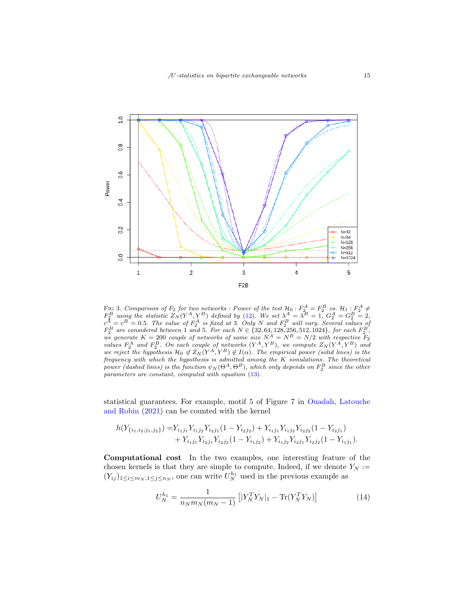

<span id="page-14-0"></span>FIG 3. Comparison of  $F_2$  for two networks : Power of the test  $\mathcal{H}_0$  :  $F_2^A = F_2^B$  vs.  $\mathcal{H}_1$  :  $F_2^A \neq$  $F_2^B$  using the statistic  $Z_N(Y^A, Y^B)$  defined by [\(12\)](#page-12-1). We set  $\lambda^A = \lambda^B = 1$ ,  $G_2^A = G_2^B = 2$ ,  $c^A = c^B = 0.5$ . The value of  $F_2^A$  is fixed at 3. Only N and  $F_2^B$  will vary. Several values of  $F_2^B$  are considered we generate  $K = 200$  couple of networks of same size  $N^A = N^B = N/2$  with respective  $\overline{F}_2$ values  $F_2^A$  and  $F_2^B$ . On each couple of networks  $(Y^A, Y^B)$ , we compute  $Z_N(Y^A, Y^B)$  and we reject the hypothesis  $\mathcal{H}_0$  if  $Z_N(Y^A, Y^B) \notin I(\alpha)$ . The empirical power (solid lines) is the frequency with which the hypothesis is admitted among the K simulations. The theoretical power (dashed lines) is the function  $\psi_N(\Theta^A, \Theta^B)$ , which only depends on  $F_2^B$  since the other parameters are constant, computed with equation [\(13\)](#page-13-0).

statistical guarantees. For example, motif 5 of Figure 7 in [Ouadah, Latouche](#page-28-4) [and Robin](#page-28-4) [\(2021\)](#page-28-4) can be counted with the kernel

$$
h(Y_{\{i_1,i_2;j_1,j_2\}}) = Y_{i_1j_1}Y_{i_1j_2}Y_{i_2j_1}(1 - Y_{i_2j_2}) + Y_{i_1j_1}Y_{i_1j_2}Y_{i_2j_2}(1 - Y_{i_2j_1}) + Y_{i_1j_1}Y_{i_2j_1}Y_{i_2j_2}(1 - Y_{i_1j_2}) + Y_{i_1j_2}Y_{i_2j_1}Y_{i_2j_2}(1 - Y_{i_1j_1}).
$$

Computational cost In the two examples, one interesting feature of the chosen kernels is that they are simple to compute. Indeed, if we denote  $Y_N :=$  $(Y_{ij})_{1 \leq i \leq m_N, 1 \leq j \leq n_N}$ , one can write  $U_N^{h_1}$  used in the previous example as

<span id="page-14-1"></span>
$$
U_N^{h_1} = \frac{1}{n_N m_N (m_N - 1)} \left[ |Y_N^T Y_N|_1 - \text{Tr}(Y_N^T Y_N) \right] \tag{14}
$$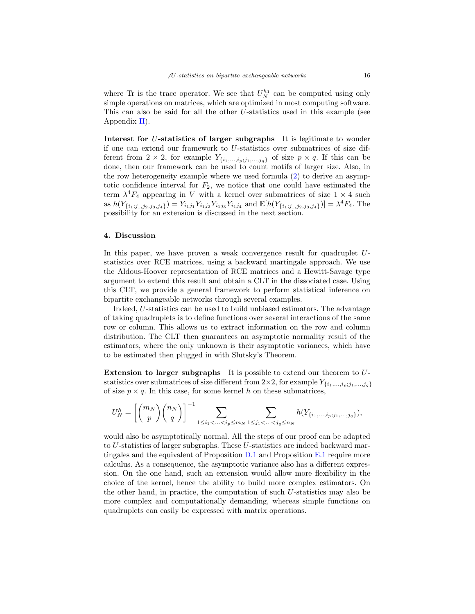where Tr is the trace operator. We see that  $U_N^{h_1}$  can be computed using only simple operations on matrices, which are optimized in most computing software. This can also be said for all the other U-statistics used in this example (see Appendix [H\)](#page-27-0).

Interest for U-statistics of larger subgraphs It is legitimate to wonder if one can extend our framework to U-statistics over submatrices of size different from  $2 \times 2$ , for example  $Y_{\{i_1,\ldots,i_p;j_1,\ldots,j_q\}}$  of size  $p \times q$ . If this can be done, then our framework can be used to count motifs of larger size. Also, in the row heterogeneity example where we used formula [\(2\)](#page-8-2) to derive an asymptotic confidence interval for  $F_2$ , we notice that one could have estimated the term  $\lambda^4 F_4$  appearing in V with a kernel over submatrices of size  $1 \times 4$  such as  $h(Y_{\{i_1; j_1, j_2, j_3, j_4\}}) = Y_{i_1 j_1} Y_{i_1 j_2} Y_{i_1 j_3} Y_{i_1 j_4}$  and  $\mathbb{E}[h(Y_{\{i_1; j_1, j_2, j_3, j_4\}})] = \lambda^4 F_4$ . The possibility for an extension is discussed in the next section.

#### 4. Discussion

In this paper, we have proven a weak convergence result for quadruplet Ustatistics over RCE matrices, using a backward martingale approach. We use the Aldous-Hoover representation of RCE matrices and a Hewitt-Savage type argument to extend this result and obtain a CLT in the dissociated case. Using this CLT, we provide a general framework to perform statistical inference on bipartite exchangeable networks through several examples.

Indeed, U-statistics can be used to build unbiased estimators. The advantage of taking quadruplets is to define functions over several interactions of the same row or column. This allows us to extract information on the row and column distribution. The CLT then guarantees an asymptotic normality result of the estimators, where the only unknown is their asymptotic variances, which have to be estimated then plugged in with Slutsky's Theorem.

Extension to larger subgraphs It is possible to extend our theorem to Ustatistics over submatrices of size different from  $2\times 2$ , for example  $Y_{\{i_1,\ldots,i_p;j_1,\ldots,j_q\}}$ of size  $p \times q$ . In this case, for some kernel h on these submatrices,

$$
U_N^h = \left[{m_N \choose p} {n_N \choose q}\right]^{-1} \sum_{1 \le i_1 < ... < i_p \le m_N} \sum_{1 \le j_1 < ... < j_q \le n_N} h(Y_{\{i_1,...,i_p;j_1,...,j_q\}}),
$$

would also be asymptotically normal. All the steps of our proof can be adapted to U-statistics of larger subgraphs. These U-statistics are indeed backward martingales and the equivalent of Proposition  $D.1$  and Proposition  $E.1$  require more calculus. As a consequence, the asymptotic variance also has a different expression. On the one hand, such an extension would allow more flexibility in the choice of the kernel, hence the ability to build more complex estimators. On the other hand, in practice, the computation of such U-statistics may also be more complex and computationally demanding, whereas simple functions on quadruplets can easily be expressed with matrix operations.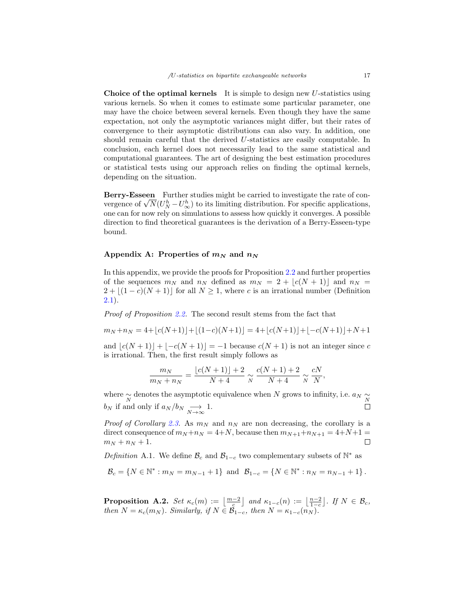Choice of the optimal kernels It is simple to design new  $U$ -statistics using various kernels. So when it comes to estimate some particular parameter, one may have the choice between several kernels. Even though they have the same expectation, not only the asymptotic variances might differ, but their rates of convergence to their asymptotic distributions can also vary. In addition, one should remain careful that the derived U-statistics are easily computable. In conclusion, each kernel does not necessarily lead to the same statistical and computational guarantees. The art of designing the best estimation procedures or statistical tests using our approach relies on finding the optimal kernels, depending on the situation.

Berry-Esseen Further studies might be carried to investigate the rate of con-**Berry-Esseen** Further studies might be carried to investigate the rate of convergence of  $\sqrt{N}(U_N^h - U_\infty^h)$  to its limiting distribution. For specific applications, one can for now rely on simulations to assess how quickly it converges. A possible direction to find theoretical guarantees is the derivation of a Berry-Esseen-type bound.

# <span id="page-16-0"></span>Appendix A: Properties of  $m_N$  and  $n_N$

In this appendix, we provide the proofs for Proposition [2.2](#page-3-2) and further properties of the sequences  $m_N$  and  $n_N$  defined as  $m_N = 2 + |c(N + 1)|$  and  $n_N =$  $2 + \lfloor(1 - c)(N + 1)\rfloor$  for all  $N \geq 1$ , where c is an irrational number (Definition [2.1\)](#page-3-0).

Proof of Proposition [2.2.](#page-3-2) The second result stems from the fact that

 $m_N + n_N = 4 + |c(N+1)| + |(1-c)(N+1)| = 4 + |c(N+1)| + |-c(N+1)| + N + 1$ 

and  $|c(N + 1)| + |-c(N + 1)| = -1$  because  $c(N + 1)$  is not an integer since c is irrational. Then, the first result simply follows as

$$
\frac{m_N}{m_N + n_N} = \frac{\lfloor c(N+1) \rfloor + 2}{N+4} \approx \frac{c(N+1) + 2}{N+4} \approx \frac{cN}{N},
$$

where  $\sim \atop N$  denotes the asymptotic equivalence when N grows to infinity, i.e.  $a_N \sim \atop N$  $b_N$  if and only if  $a_N/b_N \longrightarrow_{N \to \infty} 1$ .

*Proof of Corollary [2.3.](#page-3-3)* As  $m_N$  and  $n_N$  are non decreasing, the corollary is a direct consequence of  $m_N + n_N = 4 + N$ , because then  $m_{N+1} + n_{N+1} = 4 + N + 1 =$  $m_N + n_N + 1.$  $\Box$ 

<span id="page-16-1"></span>Definition A.1. We define  $\mathcal{B}_c$  and  $\mathcal{B}_{1-c}$  two complementary subsets of  $\mathbb{N}^*$  as

$$
\mathcal{B}_c = \{ N \in \mathbb{N}^* : m_N = m_{N-1} + 1 \} \text{ and } \mathcal{B}_{1-c} = \{ N \in \mathbb{N}^* : n_N = n_{N-1} + 1 \}.
$$

<span id="page-16-2"></span>**Proposition A.2.** Set  $\kappa_c(m) := \left\lfloor \frac{m-2}{c} \right\rfloor$  and  $\kappa_{1-c}(n) := \left\lfloor \frac{n-2}{1-c} \right\rfloor$ . If  $N \in \mathcal{B}_c$ , then  $N = \kappa_c(m_N)$ . Similarly, if  $N \in \mathcal{B}_{1-c}$ , then  $N = \kappa_{1-c}(n_N)$ .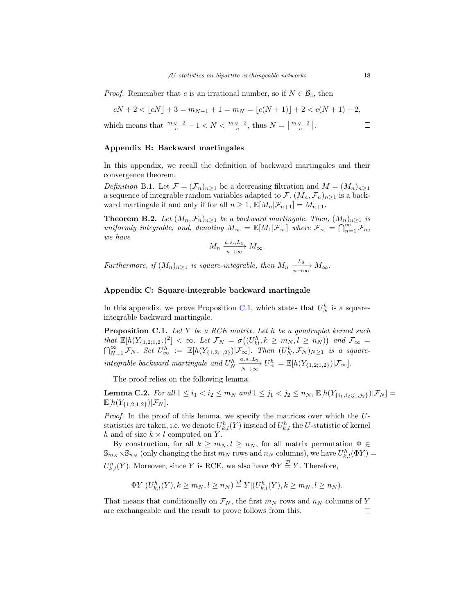*Proof.* Remember that c is an irrational number, so if  $N \in \mathcal{B}_c$ , then

$$
cN + 2 < \lfloor cN \rfloor + 3 = m_{N-1} + 1 = m_N = \lfloor c(N+1) \rfloor + 2 < c(N+1) + 2,
$$

which means that 
$$
\frac{m_N - 2}{c} - 1 < N < \frac{m_N - 2}{c}
$$
, thus  $N = \left\lfloor \frac{m_N - 2}{c} \right\rfloor$ .

#### <span id="page-17-0"></span>Appendix B: Backward martingales

In this appendix, we recall the definition of backward martingales and their convergence theorem.

Definition B.1. Let  $\mathcal{F} = (\mathcal{F}_n)_{n \geq 1}$  be a decreasing filtration and  $M = (M_n)_{n \geq 1}$ a sequence of integrable random variables adapted to  $\mathcal{F}\colon (M_n, \mathcal{F}_n)_{n \geq 1}$  is a backward martingale if and only if for all  $n \geq 1$ ,  $\mathbb{E}[M_n|\mathcal{F}_{n+1}] = M_{n+1}$ .

<span id="page-17-4"></span>**Theorem B.2.** Let  $(M_n, \mathcal{F}_n)_{n>1}$  be a backward martingale. Then,  $(M_n)_{n>1}$  is uniformly integrable, and, denoting  $M_{\infty} = \mathbb{E}[M_1 | \mathcal{F}_{\infty}]$  where  $\mathcal{F}_{\infty} = \bigcap_{n=1}^{\infty} \mathcal{F}_n$ , we have

$$
M_n \xrightarrow[n \to \infty]{a.s., L_1} M_\infty.
$$

Furthermore, if  $(M_n)_{n\geq 1}$  is square-integrable, then  $M_n \xrightarrow[n \to \infty]{L_2} M_\infty$ .

# <span id="page-17-2"></span>Appendix C: Square-integrable backward martingale

In this appendix, we prove Proposition [C.1,](#page-17-1) which states that  $U_N^h$  is a squareintegrable backward martingale.

<span id="page-17-1"></span>**Proposition C.1.** Let Y be a RCE matrix. Let h be a quadruplet kernel such that  $\mathbb{E}[h(Y_{\{1,2;1,2\}})^2] < \infty$ . Let  $\mathcal{F}_N = \sigma((U_{kl}^h, k \geq m_N, l \geq n_N))$  and  $\mathcal{F}_{\infty} =$  $\bigcap_{N=1}^{\infty} \mathcal{F}_N$ . Set  $U_{\infty}^h := \mathbb{E}[h(Y_{\{1,2;1,2\}})|\mathcal{F}_{\infty}]$ . Then  $(U_N^h, \mathcal{F}_N)_{N\geq 1}$  is a squareintegrable backward martingale and  $U_N^h \frac{a.s., L_2}{N \to \infty} U_\infty^h = \mathbb{E}[h(Y_{\{1,2;1,2\}})|\mathcal{F}_\infty].$ 

The proof relies on the following lemma.

<span id="page-17-3"></span>**Lemma C.2.** For all  $1 \le i_1 < i_2 \le m_N$  and  $1 \le j_1 < j_2 \le n_N$ ,  $\mathbb{E}[h(Y_{\{i_1,i_2:j_1,j_2\}})|\mathcal{F}_N] =$  $\mathbb{E}[h(Y_{\{1,2;1,2\}})|\mathcal{F}_N].$ 

Proof. In the proof of this lemma, we specify the matrices over which the Ustatistics are taken, i.e. we denote  $U_{k,l}^h(Y)$  instead of  $U_{k,l}^h$  the U-statistic of kernel h and of size  $k \times l$  computed on Y.

By construction, for all  $k \geq m_N, l \geq n_N$ , for all matrix permutation  $\Phi \in$  $\mathbb{S}_{m_N} \times \mathbb{S}_{n_N}$  (only changing the first  $m_N$  rows and  $n_N$  columns), we have  $U_{k,l}^h(\Phi Y) =$  $U_{k,l}^h(Y)$ . Moreover, since Y is RCE, we also have  $\Phi Y \stackrel{\mathcal{D}}{=} Y$ . Therefore,

$$
\Phi Y|(U_{k,l}^h(Y), k \ge m_N, l \ge n_N) \stackrel{\mathcal{D}}{=} Y|(U_{k,l}^h(Y), k \ge m_N, l \ge n_N).
$$

That means that conditionally on  $\mathcal{F}_N$ , the first  $m_N$  rows and  $n_N$  columns of Y are exchangeable and the result to prove follows from this. $\Box$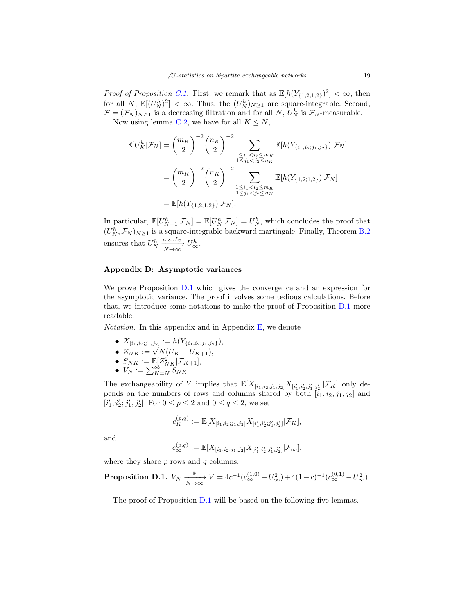*Proof of Proposition [C.1.](#page-17-1)* First, we remark that as  $\mathbb{E}[h(Y_{\{1,2;1,2\}})^2] < \infty$ , then for all N,  $\mathbb{E}[(U_N^h)^2] < \infty$ . Thus, the  $(U_N^h)_{N\geq 1}$  are square-integrable. Second,  $\mathcal{F} = (\mathcal{F}_N)_{N \geq 1}$  is a decreasing filtration and for all N,  $U_N^h$  is  $\mathcal{F}_N$ -measurable. Now using lemma [C.2,](#page-17-3) we have for all  $K \leq N$ ,

$$
\mathbb{E}[U_K^h|\mathcal{F}_N] = {m_K \choose 2}^{-2} {n_K \choose 2}^{-2} \sum_{\substack{1 \le i_1 < i_2 \le m_K \\ 1 \le j_1 < j_2 \le n_K \\ \cdots \\ 1 \le j_1 < j_2 \le n_K}} \mathbb{E}[h(Y_{\{i_1, i_2; j_1, j_2\}})|\mathcal{F}_N]
$$
\n
$$
= {m_K \choose 2}^{-2} {n_K \choose 2}^{-2} \sum_{\substack{1 \le i_1 < i_2 \le m_K \\ 1 \le j_1 < j_2 \le n_K \\ \cdots \\ 1 \le j_1 < j_2 \le n_K}} \mathbb{E}[h(Y_{\{1, 2; 1, 2\}})|\mathcal{F}_N]
$$
\n
$$
= \mathbb{E}[h(Y_{\{1, 2; 1, 2\}})|\mathcal{F}_N],
$$

In particular,  $\mathbb{E}[U_{N-1}^h | \mathcal{F}_N] = \mathbb{E}[U_N^h | \mathcal{F}_N] = U_N^h$ , which concludes the proof that  $(U_N^h, \mathcal{F}_N)_{N \geq 1}$  is a square-integrable backward martingale. Finally, Theorem [B.2](#page-17-4) ensures that  $U_N^h \xrightarrow[N \to \infty]{a.s., L_2} U_\infty^h$ .  $\Box$ 

#### <span id="page-18-1"></span>Appendix D: Asymptotic variances

We prove Proposition [D.1](#page-18-0) which gives the convergence and an expression for the asymptotic variance. The proof involves some tedious calculations. Before that, we introduce some notations to make the proof of Proposition [D.1](#page-18-0) more readable.

*Notation*. In this appendix and in Appendix  $E$ , we denote

- $X_{[i_1,i_2;j_1,j_2]} := h(Y_{\{i_1,i_2,j_1,j_2\}}),$
- $Z_{NK} := \sqrt{N}(U_K U_{K+1}),$ <br>•  $Z_{NK} := \sqrt{N}(U_K U_{K+1}),$
- $S_{NK} := \mathbb{E}[Z_{NK}^2 | \mathcal{F}_{K+1}],$
- $V_N := \sum_{K=N}^{\infty} S_{NK}$ .

The exchangeability of Y implies that  $\mathbb{E}[X_{[i_1,i_2;j_1,j_2]}X_{[i'_1,i'_2;j'_1,j'_2]}|\mathcal{F}_K]$  only depends on the numbers of rows and columns shared by both  $[i_1, i_2; j_1, j_2]$  and  $[i'_1, i'_2; j'_1, j'_2]$ . For  $0 \le p \le 2$  and  $0 \le q \le 2$ , we set

$$
c_K^{(p,q)} := \mathbb{E}[X_{[i_1,i_2;j_1,j_2]}X_{[i'_1,i'_2;j'_1,j'_2]}|\mathcal{F}_K],
$$

and

$$
c^{(p,q)}_\infty:=\mathbb{E}[X_{[i_1,i_2;j_1,j_2]}X_{[i'_1,i'_2;j'_1,j'_2]}|\mathcal{F}_\infty],
$$

where they share  $p$  rows and  $q$  columns.

<span id="page-18-0"></span>**Proposition D.1.** 
$$
V_N \xrightarrow[N \to \infty]{} V = 4c^{-1}(c_{\infty}^{(1,0)} - U_{\infty}^2) + 4(1-c)^{-1}(c_{\infty}^{(0,1)} - U_{\infty}^2).
$$

The proof of Proposition [D.1](#page-18-0) will be based on the following five lemmas.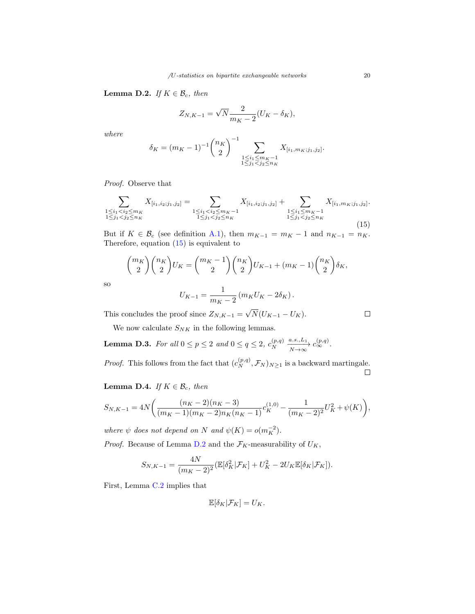<span id="page-19-1"></span>**Lemma D.2.** If  $K \in \mathcal{B}_c$ , then

$$
Z_{N,K-1} = \sqrt{N} \frac{2}{m_K - 2} (U_K - \delta_K),
$$

where

$$
\delta_K = (m_K - 1)^{-1} \binom{n_K}{2}^{-1} \sum_{\substack{1 \le i_1 \le m_K - 1 \\ 1 \le j_1 < j_2 \le n_K}} X_{[i_1, m_K; j_1, j_2]}.
$$

Proof. Observe that

<span id="page-19-0"></span>
$$
\sum_{\substack{1 \le i_1 < i_2 \le m_K \\ 1 \le j_1 < j_2 \le n_K}} X_{[i_1, i_2; j_1, j_2]} = \sum_{\substack{1 \le i_1 < i_2 \le m_K - 1 \\ 1 \le j_1 < j_2 \le n_K}} X_{[i_1, i_2; j_1, j_2]} + \sum_{\substack{1 \le i_1 \le m_K - 1 \\ 1 \le j_1 < j_2 \le n_K}} X_{[i_1, m_K; j_1, j_2]}.
$$
\n
$$
(15)
$$

But if  $K \in \mathcal{B}_c$  (see definition [A.1\)](#page-16-1), then  $m_{K-1} = m_K - 1$  and  $n_{K-1} = n_K$ . Therefore, equation [\(15\)](#page-19-0) is equivalent to

$$
{\binom{m_K}{2}}{\binom{n_K}{2}}U_K={\binom{m_K-1}{2}}{\binom{n_K}{2}}U_{K-1}+({m_K-1}){\binom{n_K}{2}}\delta_K,
$$

so

$$
U_{K-1} = \frac{1}{m_K - 2} (m_K U_K - 2\delta_K).
$$

This concludes the proof since  $Z_{N,K-1} =$ √  $N(U_{K-1}-U_K)$ .

We now calculate  ${\cal S}_{NK}$  in the following lemmas.

<span id="page-19-3"></span>**Lemma D.3.** For all  $0 \le p \le 2$  and  $0 \le q \le 2$ ,  $c_N^{(p,q)}$  $\stackrel{(p,q)}{N} \xrightarrow[N \to \infty]{a.s.,L_1} c_{\infty}^{(p,q)}.$ 

*Proof.* This follows from the fact that  $(c_N^{(p,q)}, \mathcal{F}_N)_{N \geq 1}$  is a backward martingale.

# <span id="page-19-2"></span>**Lemma D.4.** If  $K \in \mathcal{B}_c$ , then

$$
S_{N,K-1} = 4N\bigg(\frac{(n_K-2)(n_K-3)}{(m_K-1)(m_K-2)n_K(n_K-1)}c_K^{(1,0)} - \frac{1}{(m_K-2)^2}U_K^2 + \psi(K)\bigg),
$$

where  $\psi$  does not depend on N and  $\psi(K) = o(m_K^{-2})$ .

*Proof.* Because of Lemma [D.2](#page-19-1) and the  $\mathcal{F}_K$ -measurability of  $U_K$ ,

$$
S_{N,K-1} = \frac{4N}{(m_K-2)^2} (\mathbb{E}[\delta_K^2 | \mathcal{F}_K] + U_K^2 - 2U_K \mathbb{E}[\delta_K | \mathcal{F}_K]).
$$

First, Lemma [C.2](#page-17-3) implies that

$$
\mathbb{E}[\delta_K|\mathcal{F}_K] = U_K.
$$

 $\Box$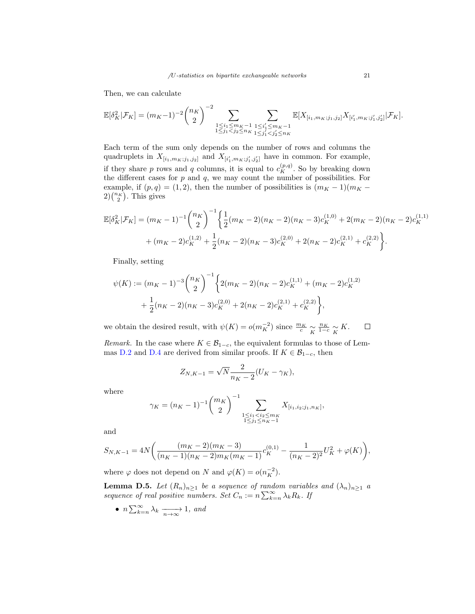Then, we can calculate

$$
\mathbb{E}[\delta_K^2|\mathcal{F}_K] = (m_K - 1)^{-2} {n_K \choose 2}^{-2} \sum_{\substack{1 \le i_1 \le m_K - 1 \\ 1 \le j_1 < j_2 \le n_K}} \sum_{\substack{1 \le i'_1 \le m_K - 1 \\ 1 \le j'_1 < j'_2 \le n_K}} \mathbb{E}[X_{[i_1, m_K; j_1, j_2]} X_{[i'_1, m_K; j'_1, j'_2]} | \mathcal{F}_K].
$$

Each term of the sum only depends on the number of rows and columns the quadruplets in  $X_{[i_1,m_K;j_1,j_2]}$  and  $X_{[i'_1,m_K;j'_1,j'_2]}$  have in common. For example, if they share p rows and q columns, it is equal to  $c_K^{(p,q)}$ . So by breaking down the different cases for  $p$  and  $q$ , we may count the number of possibilities. For example, if  $(p, q) = (1, 2)$ , then the number of possibilities is  $(m<sub>K</sub> - 1)(m<sub>K</sub> 2\binom{n_K}{2}$ . This gives

$$
\mathbb{E}[\delta_K^2|\mathcal{F}_K] = (m_K - 1)^{-1} {n_K \choose 2}^{-1} \left\{ \frac{1}{2} (m_K - 2)(n_K - 2)(n_K - 3)c_K^{(1,0)} + 2(m_K - 2)(n_K - 2)c_K^{(1,1)} + (m_K - 2)c_K^{(1,2)} + \frac{1}{2}(n_K - 2)(n_K - 3)c_K^{(2,0)} + 2(n_K - 2)c_K^{(2,1)} + c_K^{(2,2)} \right\}.
$$

Finally, setting

$$
\psi(K) := (m_K - 1)^{-3} \binom{n_K}{2}^{-1} \left\{ 2(m_K - 2)(n_K - 2)c_K^{(1,1)} + (m_K - 2)c_K^{(1,2)} + \frac{1}{2}(n_K - 2)(n_K - 3)c_K^{(2,0)} + 2(n_K - 2)c_K^{(2,1)} + c_K^{(2,2)} \right\},\,
$$

we obtain the desired result, with  $\psi(K) = o(m_K^{-2})$  since  $\frac{m_K}{c} \underset{K}{\sim}$  $\frac{n_K}{1-c} \underset{K}{\sim} K.$  $\Box$ 

Remark. In the case where  $K \in \mathcal{B}_{1-c}$ , the equivalent formulas to those of Lem-mas [D.2](#page-19-1) and [D.4](#page-19-2) are derived from similar proofs. If  $K \in \mathcal{B}_{1-c}$ , then

$$
Z_{N,K-1} = \sqrt{N} \frac{2}{n_K - 2} (U_K - \gamma_K),
$$

where

$$
\gamma_K = (n_K - 1)^{-1} \binom{m_K}{2}^{-1} \sum_{\substack{1 \le i_1 < i_2 \le m_K \\ 1 \le j_1 \le n_K - 1}} X_{[i_1, i_2; j_1, n_K]},
$$

and

$$
S_{N,K-1}=4N\bigg(\frac{(m_K-2)(m_K-3)}{(n_K-1)(n_K-2)m_K(m_K-1)}c_K^{(0,1)}-\frac{1}{(n_K-2)^2}U_K^2+\varphi(K)\bigg),
$$

where  $\varphi$  does not depend on N and  $\varphi(K) = o(n_K^{-2})$ .

<span id="page-20-0"></span>**Lemma D.5.** Let  $(R_n)_{n\geq 1}$  be a sequence of random variables and  $(\lambda_n)_{n\geq 1}$  a sequence of real positive numbers. Set  $C_n := n \sum_{k=n}^{\infty} \lambda_k R_k$ . If

• 
$$
n \sum_{k=n}^{\infty} \lambda_k \xrightarrow[n \to \infty]{} 1
$$
, and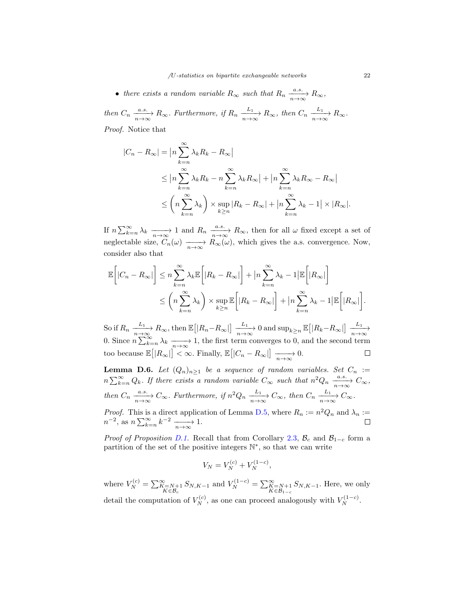• there exists a random variable  $R_{\infty}$  such that  $R_n \frac{a.s.}{n \to \infty} R_{\infty}$ , then  $C_n \xrightarrow[n \to \infty]{a.s.} R_\infty$ . Furthermore, if  $R_n \xrightarrow[n \to \infty]{L_1} R_\infty$ , then  $C_n \xrightarrow[n \to \infty]{L_1} R_\infty$ .

Proof. Notice that

$$
|C_n - R_{\infty}| = |n \sum_{k=n}^{\infty} \lambda_k R_k - R_{\infty}|
$$
  
\n
$$
\leq |n \sum_{k=n}^{\infty} \lambda_k R_k - n \sum_{k=n}^{\infty} \lambda_k R_{\infty}| + |n \sum_{k=n}^{\infty} \lambda_k R_{\infty} - R_{\infty}|
$$
  
\n
$$
\leq \left(n \sum_{k=n}^{\infty} \lambda_k\right) \times \sup_{k \geq n} |R_k - R_{\infty}| + |n \sum_{k=n}^{\infty} \lambda_k - 1| \times |R_{\infty}|.
$$

If  $n \sum_{k=n}^{\infty} \lambda_k \xrightarrow[n \to \infty]{n \to \infty} 1$  and  $R_n \xrightarrow[n \to \infty]{a.s.} R_\infty$ , then for all  $\omega$  fixed except a set of neglectable size,  $C_n(\omega) \longrightarrow R_{\infty}(\omega)$ , which gives the a.s. convergence. Now, consider also that

$$
\mathbb{E}\left[|C_n - R_{\infty}|\right] \leq n \sum_{k=n}^{\infty} \lambda_k \mathbb{E}\left[|R_k - R_{\infty}|\right] + \left|n \sum_{k=n}^{\infty} \lambda_k - 1\right| \mathbb{E}\left[|R_{\infty}|\right]
$$
  

$$
\leq \left(n \sum_{k=n}^{\infty} \lambda_k\right) \times \sup_{k \geq n} \mathbb{E}\left[|R_k - R_{\infty}|\right] + \left|n \sum_{k=n}^{\infty} \lambda_k - 1\right| \mathbb{E}\left[|R_{\infty}|\right].
$$

So if  $R_n \xrightarrow[n \to \infty]{L_1} R_\infty$ , then  $\mathbb{E}\big[|R_n - R_\infty|\big] \xrightarrow[n \to \infty]{L_1} 0$  and  $\sup_{k \ge n} \mathbb{E}\big[|R_k - R_\infty|\big] \xrightarrow[n \to \infty]{L_1}$ 0. Since  $n \sum_{k=n}^{\infty} \lambda_k \xrightarrow[n \to \infty]{} 1$ , the first term converges to 0, and the second term too because  $\mathbb{E}[|R_{\infty}|] < \infty$ . Finally,  $\mathbb{E}[|C_n - R_{\infty}|] \xrightarrow[n \to \infty]{} 0$ .  $\Box$ 

<span id="page-21-0"></span>**Lemma D.6.** Let  $(Q_n)_{n\geq 1}$  be a sequence of random variables. Set  $C_n :=$  $n \sum_{k=n}^{\infty} Q_k$ . If there exists a random variable  $C_{\infty}$  such that  $n^2 Q_n \xrightarrow[n \to \infty]{a.s.} C_{\infty}$ , then  $C_n \xrightarrow[n \to \infty]{a.s.} C_\infty$ . Furthermore, if  $n^2 Q_n \xrightarrow[n \to \infty]{L_1} C_\infty$ , then  $C_n \xrightarrow[n \to \infty]{L_1} C_\infty$ .

*Proof.* This is a direct application of Lemma [D.5,](#page-20-0) where  $R_n := n^2 Q_n$  and  $\lambda_n :=$  $n^{-2}$ , as  $n \sum_{k=n}^{\infty} k^{-2} \xrightarrow[n \to \infty]{n} 1$ .

*Proof of Proposition [D.1.](#page-18-0)* Recall that from Corollary [2.3,](#page-3-3)  $\mathcal{B}_c$  and  $\mathcal{B}_{1-c}$  form a partition of the set of the positive integers  $\mathbb{N}^*$ , so that we can write

$$
V_N = V_N^{(c)} + V_N^{(1-c)},
$$

where  $V_N^{(c)} = \sum_{\substack{K=N+1 \ K \in \mathcal{B}_c}}^{N=N+1} S_{N,K-1}$  and  $V_N^{(1-c)} = \sum_{\substack{K=N+1 \ K \in \mathcal{B}_{1-c}}}^{N=N+1} S_{N,K-1}$ . Here, we only detail the computation of  $V_N^{(c)}$ , as one can proceed analogously with  $V_N^{(1-c)}$ .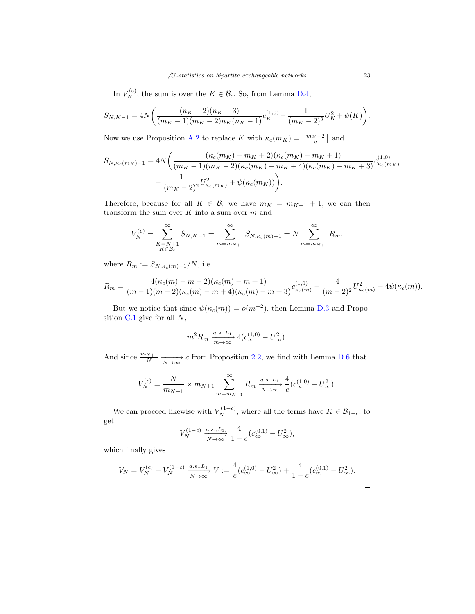In  $V_N^{(c)}$ , the sum is over the  $K \in \mathcal{B}_c$ . So, from Lemma [D.4,](#page-19-2)

$$
S_{N,K-1} = 4N\bigg(\frac{(n_K-2)(n_K-3)}{(m_K-1)(m_K-2)n_K(n_K-1)}c_K^{(1,0)} - \frac{1}{(m_K-2)^2}U_K^2 + \psi(K)\bigg).
$$

Now we use Proposition [A.2](#page-16-2) to replace K with  $\kappa_c(m_K) = \left\lfloor \frac{m_K-2}{c} \right\rfloor$  and

$$
S_{N,\kappa_c(m_K)-1} = 4N \bigg( \frac{(\kappa_c(m_K) - m_K + 2)(\kappa_c(m_K) - m_K + 1)}{(m_K - 1)(m_K - 2)(\kappa_c(m_K) - m_K + 4)(\kappa_c(m_K) - m_K + 3)} c_{\kappa_c(m_K)}^{(1,0)} - \frac{1}{(m_K - 2)^2} U_{\kappa_c(m_K)}^2 + \psi(\kappa_c(m_K)) \bigg).
$$

Therefore, because for all  $K \in \mathcal{B}_c$  we have  $m_K = m_{K-1} + 1$ , we can then transform the sum over  $K$  into a sum over  $m$  and

$$
V_N^{(c)} = \sum_{\substack{K=N+1\\K \in \mathcal{B}_c}}^{\infty} S_{N,K-1} = \sum_{m=m_{N+1}}^{\infty} S_{N,\kappa_c(m)-1} = N \sum_{m=m_{N+1}}^{\infty} R_m,
$$

where  $R_m := S_{N,\kappa_c(m)-1}/N$ , i.e.

$$
R_m = \frac{4(\kappa_c(m) - m + 2)(\kappa_c(m) - m + 1)}{(m-1)(m-2)(\kappa_c(m) - m + 4)(\kappa_c(m) - m + 3)} c_{\kappa_c(m)}^{(1,0)} - \frac{4}{(m-2)^2} U_{\kappa_c(m)}^2 + 4\psi(\kappa_c(m)).
$$

But we notice that since  $\psi(\kappa_c(m)) = o(m^{-2})$ , then Lemma [D.3](#page-19-3) and Proposition [C.1](#page-17-1) give for all N,

$$
m^2 R_m \xrightarrow[m \to \infty]{a.s., L_1} 4(c_{\infty}^{(1,0)} - U_{\infty}^2).
$$

And since  $\frac{m_{N+1}}{N} \xrightarrow[N \to \infty]{} c$  from Proposition [2.2,](#page-3-2) we find with Lemma [D.6](#page-21-0) that

$$
V_N^{(c)} = \frac{N}{m_{N+1}} \times m_{N+1} \sum_{m=m_{N+1}}^{\infty} R_m \frac{a.s., L_1}{N \to \infty} \frac{4}{c} (c_{\infty}^{(1,0)} - U_{\infty}^2).
$$

We can proceed likewise with  $V_N^{(1-c)}$ , where all the terms have  $K \in \mathcal{B}_{1-c}$ , to get

$$
V_N^{(1-c)} \xrightarrow[N \to \infty]{a.s., L_1} \frac{4}{1-c} (c_{\infty}^{(0,1)} - U_{\infty}^2),
$$

which finally gives

$$
V_N = V_N^{(c)} + V_N^{(1-c)} \xrightarrow[N \to \infty]{a.s., L_1} V := \frac{4}{c} (c_{\infty}^{(1,0)} - U_{\infty}^2) + \frac{4}{1-c} (c_{\infty}^{(0,1)} - U_{\infty}^2).
$$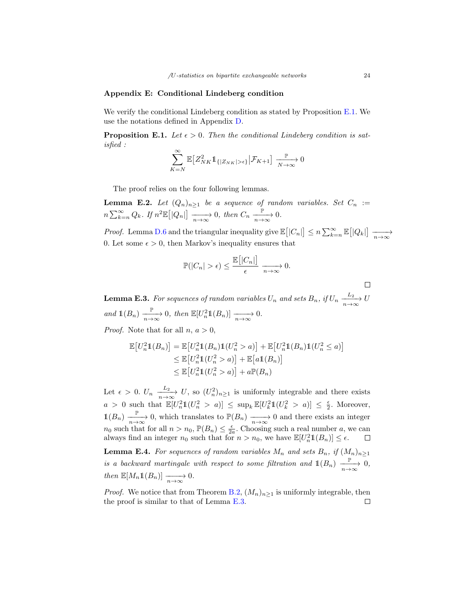#### <span id="page-23-1"></span>Appendix E: Conditional Lindeberg condition

We verify the conditional Lindeberg condition as stated by Proposition [E.1.](#page-23-0) We use the notations defined in Appendix [D.](#page-18-1)

<span id="page-23-0"></span>**Proposition E.1.** Let  $\epsilon > 0$ . Then the conditional Lindeberg condition is satisfied :

$$
\sum_{K=N}^{\infty} \mathbb{E}\big[ Z_{NK}^2 1_{\{|Z_{NK}| > \epsilon\}} \big| \mathcal{F}_{K+1} \big] \xrightarrow[N \to \infty]{\mathbb{P}} 0
$$

The proof relies on the four following lemmas.

<span id="page-23-3"></span>**Lemma E.2.** Let  $(Q_n)_{n\geq 1}$  be a sequence of random variables. Set  $C_n :=$  $n \sum_{k=n}^{\infty} Q_k$ . If  $n^2 \mathbb{E} \big[ |Q_n| \big] \xrightarrow[n \to \infty]{} 0$ , then  $C_n \xrightarrow[n \to \infty]{} 0$ .

*Proof.* Lemma [D.6](#page-21-0) and the triangular inequality give  $\mathbb{E}\left[|C_n|\right] \leq n \sum_{k=n}^{\infty} \mathbb{E}\left[|Q_k|\right] \xrightarrow[n \to \infty]{}$ 0. Let some  $\epsilon > 0$ , then Markov's inequality ensures that

$$
\mathbb{P}(|C_n| > \epsilon) \le \frac{\mathbb{E}\big[|C_n|\big]}{\epsilon} \xrightarrow[n \to \infty]{} 0.
$$

 $\Box$ 

<span id="page-23-2"></span>**Lemma E.3.** For sequences of random variables  $U_n$  and sets  $B_n$ , if  $U_n \xrightarrow[n \to \infty]{L_2} U$ and  $\mathbb{1}(B_n) \xrightarrow[n \to \infty]{} 0$ , then  $\mathbb{E}[U_n^2 \mathbb{1}(B_n)] \xrightarrow[n \to \infty]{} 0$ .

*Proof.* Note that for all  $n, a > 0$ ,

$$
\mathbb{E}\left[U_n^2\mathbb{1}(B_n)\right] = \mathbb{E}\left[U_n^2\mathbb{1}(B_n)\mathbb{1}(U_n^2 > a)\right] + \mathbb{E}\left[U_n^2\mathbb{1}(B_n)\mathbb{1}(U_n^2 \le a)\right]
$$
  
\n
$$
\leq \mathbb{E}\left[U_n^2\mathbb{1}(U_n^2 > a)\right] + \mathbb{E}\left[a\mathbb{1}(B_n)\right]
$$
  
\n
$$
\leq \mathbb{E}\left[U_n^2\mathbb{1}(U_n^2 > a)\right] + a\mathbb{P}(B_n)
$$

Let  $\epsilon > 0$ .  $U_n \xrightarrow[n \to \infty]{L_2} U$ , so  $(U_n^2)_{n \geq 1}$  is uniformly integrable and there exists  $a > 0$  such that  $\mathbb{E}[U_n^2 \mathbb{1}(U_n^2 > a)] \leq \sup_k \mathbb{E}[U_k^2 \mathbb{1}(U_k^2 > a)] \leq \frac{\epsilon}{2}$ . Moreover,  $\mathbb{1}(B_n) \xrightarrow[n \to \infty]{} 0$ , which translates to  $\mathbb{P}(B_n) \xrightarrow[n \to \infty]{} 0$  and there exists an integer  $n_0$  such that for all  $n > n_0$ ,  $\mathbb{P}(B_n) \leq \frac{\epsilon}{2a}$ . Choosing such a real number a, we can always find an integer  $n_0$  such that for  $n > n_0$ , we have  $\mathbb{E}[U_n^2 \mathbb{1}(B_n)] \leq \epsilon$ .

<span id="page-23-4"></span>**Lemma E.4.** For sequences of random variables  $M_n$  and sets  $B_n$ , if  $(M_n)_{n\geq 1}$ is a backward martingale with respect to some filtration and  $\mathbb{1}(B_n) \xrightarrow[n \to \infty]{} 0$ , then  $\mathbb{E}[M_n \mathbb{1}(B_n)] \longrightarrow 0.$ 

*Proof.* We notice that from Theorem [B.2,](#page-17-4)  $(M_n)_{n>1}$  is uniformly integrable, then the proof is similar to that of Lemma [E.3.](#page-23-2) $\Box$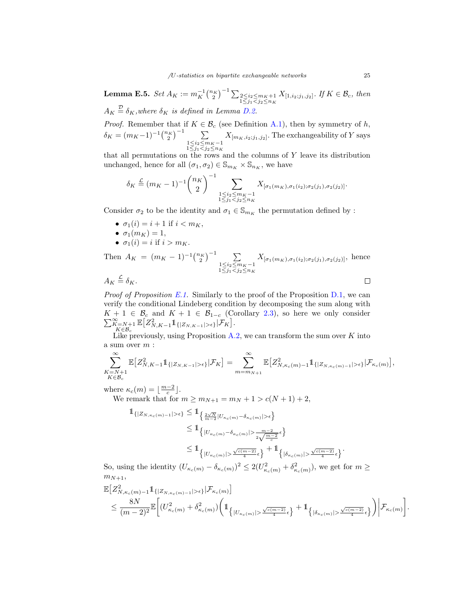<span id="page-24-0"></span>**Lemma E.5.** Set  $A_K := m_K^{-1} {n_K \choose 2}^{-1} \sum_{\substack{2 \le i_2 \le m_K+1 \ \le j_1 < j_2 \le n_K}} X_{[1,i_2;j_1,j_2]}$ . If  $K \in \mathcal{B}_c$ , then  $A_K \stackrel{\mathcal{D}}{=} \delta_K$ , where  $\delta_K$  is defined in Lemma [D.2.](#page-19-1)

*Proof.* Remember that if  $K \in \mathcal{B}_c$  (see Definition [A.1\)](#page-16-1), then by symmetry of h,  $\delta_K = (m_K - 1)^{-1} {n_K \choose 2}^{-1}$ 1≤i<sub>2</sub>≤m<sub>K</sub>-1<br>1≤j<sub>1</sub><j<sub>2</sub>≤n<sub>K</sub>  $X_{[m_K,i_2;j_1,j_2]}$ . The exchangeability of Y says

that all permutations on the rows and the columns of  $Y$  leave its distribution unchanged, hence for all  $(\sigma_1, \sigma_2) \in \mathbb{S}_{m_K} \times \mathbb{S}_{n_K}$ , we have

$$
\delta_K \stackrel{\mathcal{L}}{=} (m_K - 1)^{-1} {n_K \choose 2}^{-1} \sum_{\substack{1 \le i_2 \le m_K - 1 \\ 1 \le j_1 < j_2 \le n_K}} X_{[\sigma_1(m_K), \sigma_1(i_2); \sigma_2(j_1), \sigma_2(j_2)]}.
$$

Consider  $\sigma_2$  to be the identity and  $\sigma_1 \in \mathbb{S}_{m_K}$  the permutation defined by :

- $\sigma_1(i) = i + 1$  if  $i < m_K$ ,
- $\sigma_1(m_K) = 1$ ,
- $\sigma_1(i) = i$  if  $i > m_K$ .

Then  $A_K = (m_K - 1)^{-1} {n_K \choose 2}^{-1}$  $X_{[\sigma_1(m_K),\sigma_1(i_2);\sigma_2(j_1),\sigma_2(j_2)]}$ , hence 1≤i<sub>2</sub>≤m<sub>K</sub>-1<br>1≤j<sub>1</sub><j<sub>2</sub>≤n<sub>K</sub>  $\Box$ 

 $A_K \stackrel{\mathcal{L}}{=} \delta_K.$ 

*Proof of Proposition [E.1.](#page-23-0)* Similarly to the proof of the Proposition [D.1,](#page-18-0) we can verify the conditional Lindeberg condition by decomposing the sum along with  $K + 1 \in \mathcal{B}_c$  and  $K + 1 \in \mathcal{B}_{1-c}$  (Corollary [2.3\)](#page-3-3), so here we only consider  $\sum_{\substack{K=N+1\\K\in\mathcal{B}_c}}^{\infty}$  $\mathbb{E}\big[Z_{N,K-1}^2 1\!\!1_{\{|Z_{N,K-1}|>\epsilon\}}|\mathcal{F}_K\big].$ 

Like previously, using Proposition  $A.2$ , we can transform the sum over  $K$  into a sum over  $m$  :

$$
\sum_{\substack{K=N+1\\K\in\mathcal{B}_c}}^{\infty} \mathbb{E}\big[Z_{N,K-1}^2\mathbb{1}_{\{|Z_{N,K-1}|>\epsilon\}}|\mathcal{F}_K\big]=\sum_{m=m_{N+1}}^{\infty} \mathbb{E}\big[Z_{N,\kappa_c(m)-1}^2\mathbb{1}_{\{|Z_{N,\kappa_c(m)-1}|>\epsilon\}}|\mathcal{F}_{\kappa_c(m)}\big],
$$

where  $\kappa_c(m) = \lfloor \frac{m-2}{c} \rfloor$ .

We remark that for  $m \ge m_{N+1} = m_N + 1 > c(N + 1) + 2$ ,

$$
\label{eq:bound_1} \begin{split} \mathbbm{1}_{\left\{\left|Z_{N,\kappa_{c}(m)-1}\right|>\epsilon\right\}} &\leq \mathbbm{1}_{\left\{\frac{2\sqrt{N}}{m-2}\left|U_{\kappa_{c}(m)}-\delta_{\kappa_{c}(m)}\right|>\epsilon\right\}}\\ &\leq \mathbbm{1}_{\left\{\left|U_{\kappa_{c}(m)}-\delta_{\kappa_{c}(m)}\right|>\frac{m-2}{2\sqrt{\frac{m-2}{c}}}\epsilon\right\}}\\ &\leq \mathbbm{1}_{\left\{\left|U_{\kappa_{c}(m)}\right|>\frac{\sqrt{c(m-2)}}{4}\epsilon\right\}}+\mathbbm{1}_{\left\{\left|\delta_{\kappa_{c}(m)}\right|>\frac{\sqrt{c(m-2)}}{4}\epsilon\right\}}. \end{split}
$$

So, using the identity  $(U_{\kappa_c(m)} - \delta_{\kappa_c(m)})^2 \leq 2(U_{\kappa_c(m)}^2 + \delta_{\kappa_c(m)}^2)$ , we get for  $m \geq$  $m_{N+1},$ 

$$
\begin{split} &\mathbb{E}\big[Z_{N,\kappa_c(m)-1}^21_{\{|Z_{N,\kappa_c(m)-1}|>\epsilon\}}|\mathcal{F}_{\kappa_c(m)}\big] \\ &\leq \frac{8N}{(m-2)^2}\mathbb{E}\bigg[(U_{\kappa_c(m)}^2+\delta_{\kappa_c(m)}^2)\bigg(1_{\{|U_{\kappa_c(m)}|>\frac{\sqrt{c(m-2)}}{4}\epsilon\}}+1_{\{|{\delta_{\kappa_c(m)}|>\frac{\sqrt{c(m-2)}}{4}\epsilon\}}\bigg)\bigg|\mathcal{F}_{\kappa_c(m)}\bigg]. \end{split}
$$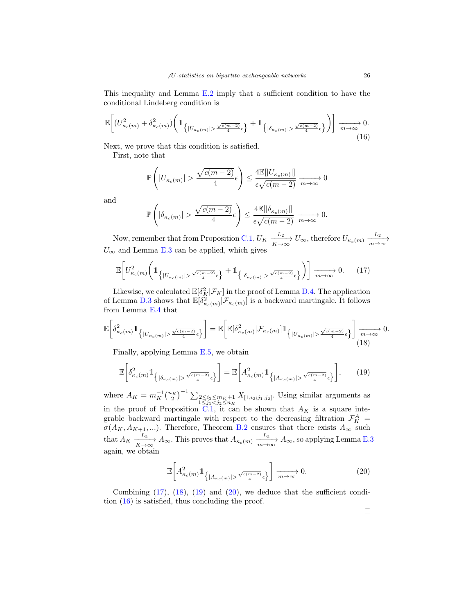This inequality and Lemma [E.2](#page-23-3) imply that a sufficient condition to have the conditional Lindeberg condition is

<span id="page-25-4"></span>
$$
\mathbb{E}\bigg[\big(U_{\kappa_c(m)}^2 + \delta_{\kappa_c(m)}^2\big)\bigg(\mathbb{1}_{\left\{|U_{\kappa_c(m)}| > \frac{\sqrt{c(m-2)}}{4}\epsilon\right\}} + \mathbb{1}_{\left\{|{\delta_{\kappa_c(m)}| > \frac{\sqrt{c(m-2)}}{4}\epsilon\right\}}\bigg)\bigg] \xrightarrow[m \to \infty]{} 0. \tag{16}
$$

Next, we prove that this condition is satisfied.

First, note that

$$
\mathbb{P}\left(|U_{\kappa_c(m)}| > \frac{\sqrt{c(m-2)}}{4}\epsilon\right) \le \frac{4\mathbb{E}[|U_{\kappa_c(m)}|]}{\epsilon\sqrt{c(m-2)}} \xrightarrow[m \to \infty]{} 0
$$

and

$$
\mathbb{P}\left(|\delta_{\kappa_c(m)}| > \frac{\sqrt{c(m-2)}}{4}\epsilon\right) \leq \frac{4\mathbb{E}[|\delta_{\kappa_c(m)}|]}{\epsilon\sqrt{c(m-2)}} \xrightarrow[m \to \infty]{} 0.
$$

Now, remember that from Proposition [C.1,](#page-17-1)  $U_K \xrightarrow[K \to \infty]{L_2} U_\infty$ , therefore  $U_{\kappa_c(m)} \xrightarrow[m \to \infty]{L_2}$  $U_{\infty}$  and Lemma [E.3](#page-23-2) can be applied, which gives

<span id="page-25-0"></span>
$$
\mathbb{E}\bigg[U_{\kappa_c(m)}^2\bigg(\mathbb{1}_{\{|U_{\kappa_c(m)}|>\frac{\sqrt{c(m-2)}}{4}\epsilon\}}+\mathbb{1}_{\{|{\delta}_{\kappa_c(m)}|>\frac{\sqrt{c(m-2)}}{4}\epsilon\}}\bigg)\bigg] \xrightarrow[m\to\infty]{} 0. \tag{17}
$$

Likewise, we calculated  $\mathbb{E}[\delta_K^2|\mathcal{F}_K]$  in the proof of Lemma [D.4.](#page-19-2) The application of Lemma [D.3](#page-19-3) shows that  $\mathbb{E}[\delta^2_{\kappa_c(m)}|\mathcal{F}_{\kappa_c(m)}]$  is a backward martingale. It follows from Lemma [E.4](#page-23-4) that

<span id="page-25-1"></span>
$$
\mathbb{E}\bigg[\delta_{\kappa_c(m)}^2 1\!\!1_{\left\{|U_{\kappa_c(m)}|>\frac{\sqrt{c(m-2)}}{4}\epsilon\right\}}\bigg] = \mathbb{E}\bigg[\mathbb{E}[\delta_{\kappa_c(m)}^2|\mathcal{F}_{\kappa_c(m)}|1\!\!1_{\left\{|U_{\kappa_c(m)}|>\frac{\sqrt{c(m-2)}}{4}\epsilon\right\}}\bigg]\xrightarrow[m\to\infty]{m\to\infty} 0.
$$

Finally, applying Lemma [E.5,](#page-24-0) we obtain

<span id="page-25-2"></span>
$$
\mathbb{E}\bigg[\delta_{\kappa_c(m)}^2 1\!\!1_{\left\{|\delta_{\kappa_c(m)}|>\frac{\sqrt{c(m-2)}}{4}\epsilon\right\}}\bigg] = \mathbb{E}\bigg[A_{\kappa_c(m)}^2 1\!\!1_{\left\{|A_{\kappa_c(m)}|>\frac{\sqrt{c(m-2)}}{4}\epsilon\right\}}\bigg],\qquad(19)
$$

where  $A_K = m_K^{-1} {n_K \choose 2}^{-1} \sum_{\substack{2 \le i_2 \le m_K+1 \ 1 \le j_1 < j_2 \le n_K}} X_{[1,i_2;j_1,j_2]}$ . Using similar arguments as in the proof of Proposition  $\overline{C}.1$ , it can be shown that  $A_K$  is a square integrable backward martingale with respect to the decreasing filtration  $\mathcal{F}_K^A$  =  $\sigma(A_K, A_{K+1}, \ldots)$ . Therefore, Theorem [B.2](#page-17-4) ensures that there exists  $A_{\infty}$  such that  $A_K \xrightarrow[K \to \infty]{L_2} A_\infty$ . This proves that  $A_{\kappa_c(m)} \xrightarrow[m \to \infty]{L_2} A_\infty$ , so applying Lemma [E.3](#page-23-2) again, we obtain

<span id="page-25-3"></span>
$$
\mathbb{E}\bigg[A_{\kappa_c(m)}^2 1\!\!1_{\left\{|A_{\kappa_c(m)}|>\frac{\sqrt{c(m-2)}}{4}\epsilon\right\}}\bigg]\xrightarrow[m\to\infty]{} 0.\tag{20}
$$

Combining  $(17)$ ,  $(18)$ ,  $(19)$  and  $(20)$ , we deduce that the sufficient condition [\(16\)](#page-25-4) is satisfied, thus concluding the proof.

 $\Box$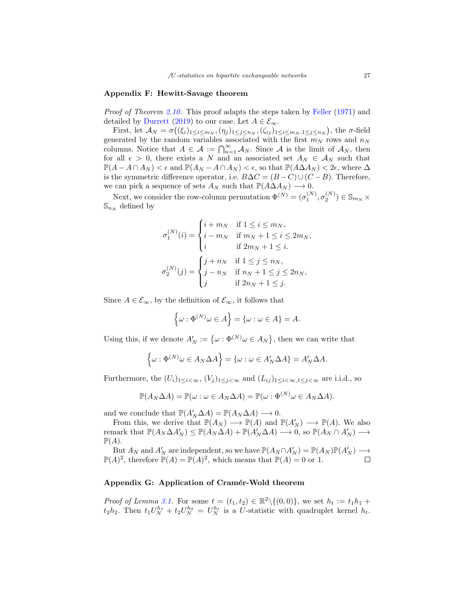#### <span id="page-26-0"></span>Appendix F: Hewitt-Savage theorem

Proof of Theorem [2.10.](#page-6-0) This proof adapts the steps taken by [Feller](#page-28-7) [\(1971\)](#page-28-7) and detailed by [Durrett](#page-28-8) [\(2019\)](#page-28-8) to our case. Let  $A \in \mathcal{E}_{\infty}$ .

First, let  $\mathcal{A}_N = \sigma((\xi_i)_{1 \leq i \leq m_N}, (\eta_j)_{1 \leq j \leq n_N}, (\zeta_{ij})_{1 \leq i \leq m_N, 1 \leq j \leq n_N}),$  the  $\sigma$ -field generated by the random variables associated with the first  $m_N$  rows and  $n_N$ columns. Notice that  $A \in \mathcal{A} := \bigcap_{n=1}^{\infty} A_N$ . Since A is the limit of  $A_N$ , then for all  $\epsilon > 0$ , there exists a N and an associated set  $A_N \in \mathcal{A}_N$  such that  $\mathbb{P}(A - A \cap A_N) < \epsilon$  and  $\mathbb{P}(A_N - A \cap A_N) < \epsilon$ , so that  $\mathbb{P}(A \Delta A_N) < 2\epsilon$ , where  $\Delta$ is the symmetric difference operator, i.e.  $B\Delta C = (B - C) \cup (C - B)$ . Therefore, we can pick a sequence of sets  $A_N$  such that  $\mathbb{P}(A\Delta A_N) \longrightarrow 0$ .

Next, we consider the row-column permutation  $\Phi^{(N)} = (\sigma_1^{(N)}, \sigma_2^{(N)}) \in \mathbb{S}_{m_N}$  ×  $\mathbb{S}_{n \times}$  defined by

$$
\sigma_1^{(N)}(i) = \begin{cases} i+m_N & \text{if } 1 \leq i \leq m_N, \\ i-m_N & \text{if } m_N+1 \leq i \leq 2m_N, \\ i & \text{if } 2m_N+1 \leq i. \end{cases}
$$

$$
\sigma_2^{(N)}(j) = \begin{cases} j+n_N & \text{if } 1 \leq j \leq n_N, \\ j-n_N & \text{if } n_N+1 \leq j \leq 2n_N, \\ j & \text{if } 2n_N+1 \leq j. \end{cases}
$$

Since  $A \in \mathcal{E}_{\infty}$ , by the definition of  $\mathcal{E}_{\infty}$ , it follows that

$$
\left\{\omega:\Phi^{(N)}\omega\in A\right\}=\left\{\omega:\omega\in A\right\}=A.
$$

Using this, if we denote  $A'_N := \{ \omega : \Phi^{(N)} \omega \in A_N \}$ , then we can write that

$$
\left\{\omega: \Phi^{(N)}\omega \in A_N \Delta A\right\} = \left\{\omega: \omega \in A'_N \Delta A\right\} = A'_N \Delta A.
$$

Furthermore, the  $(U_i)_{1\leq i<\infty}$ ,  $(V_j)_{1\leq j<\infty}$  and  $(L_{ij})_{1\leq i<\infty,1\leq j<\infty}$  are i.i.d., so

$$
\mathbb{P}(A_N \Delta A) = \mathbb{P}(\omega : \omega \in A_N \Delta A) = \mathbb{P}(\omega : \Phi^{(N)} \omega \in A_N \Delta A).
$$

and we conclude that  $\mathbb{P}(A'_N \Delta A) = \mathbb{P}(A_N \Delta A) \longrightarrow 0$ .

From this, we derive that  $\mathbb{P}(A_N) \longrightarrow \mathbb{P}(A)$  and  $\mathbb{P}(A'_N) \longrightarrow \mathbb{P}(A)$ . We also remark that  $\mathbb{P}(A_N \Delta A'_N) \leq \mathbb{P}(A_N \Delta A) + \mathbb{P}(A'_N \Delta A) \longrightarrow 0$ , so  $\mathbb{P}(A_N \cap A'_N) \longrightarrow$  $\mathbb{P}(A).$ 

But  $A_N$  and  $A'_N$  are independent, so we have  $\mathbb{P}(A_N \cap A'_N) = \mathbb{P}(A_N)\mathbb{P}(A'_N) \longrightarrow$  $\mathbb{P}(A)^2$ , therefore  $\mathbb{P}(A) = \mathbb{P}(A)^2$ , which means that  $\mathbb{P}(A) = 0$  or 1.

### <span id="page-26-1"></span>Appendix G: Application of Cramér-Wold theorem

*Proof of Lemma [3.1.](#page-9-0)* For some  $t = (t_1, t_2) \in \mathbb{R}^2 \setminus \{(0, 0)\},$  we set  $h_t := t_1 h_1 +$  $t_2h_2$ . Then  $t_1U_N^{h_1} + t_2U_N^{h_2} = U_N^{h_t}$  is a U-statistic with quadruplet kernel  $h_t$ .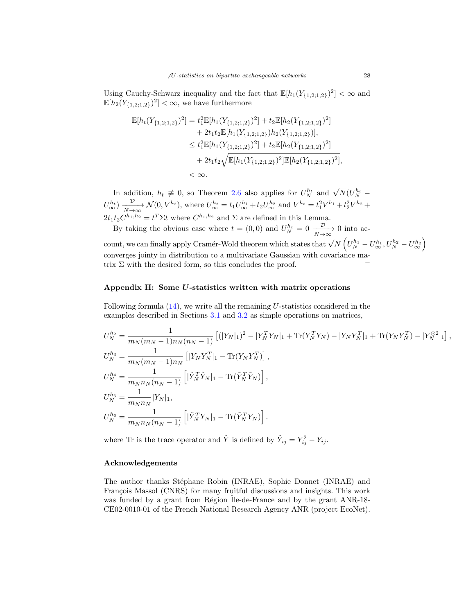Using Cauchy-Schwarz inequality and the fact that  $\mathbb{E}[h_1(Y_{\{1,2;1,2\}})^2] < \infty$  and  $\mathbb{E}[h_2(Y_{\{1,2;1,2\}})^2] < \infty$ , we have furthermore

$$
\mathbb{E}[h_t(Y_{\{1,2;1,2\}})^2] = t_1^2 \mathbb{E}[h_1(Y_{\{1,2;1,2\}})^2] + t_2 \mathbb{E}[h_2(Y_{\{1,2;1,2\}})^2]
$$
  
+  $2t_1t_2 \mathbb{E}[h_1(Y_{\{1,2;1,2\}})h_2(Y_{\{1,2;1,2\}})],$   
 $\leq t_1^2 \mathbb{E}[h_1(Y_{\{1,2;1,2\}})^2] + t_2 \mathbb{E}[h_2(Y_{\{1,2;1,2\}})^2]$   
+  $2t_1t_2 \sqrt{\mathbb{E}[h_1(Y_{\{1,2;1,2\}})^2] \mathbb{E}[h_2(Y_{\{1,2;1,2\}})^2]},$   
 $< \infty.$ 

In addition,  $h_t \neq 0$ , so Theorem [2.6](#page-4-0) also applies for  $U_N^{h_t}$  and  $\sqrt{N}(U_N^{h_t} U_{\infty}^{h_t}$ )  $\frac{\mathcal{D}}{N \to \infty} \mathcal{N}(0, V^{h_t})$ , where  $U_{\infty}^{h_t} = t_1 U_{\infty}^{h_1} + t_2 U_{\infty}^{h_2}$  and  $V^{h_t} = t_1^2 V^{h_1} + t_2^2 V^{h_2} +$  $2t_1t_2C^{h_1,h_2} = t^T\Sigma t$  where  $C^{h_1,h_2}$  and  $\Sigma$  are defined in this Lemma.

By taking the obvious case where  $t = (0,0)$  and  $U_N^{h_t} = 0 \xrightarrow[N \to \infty]{} 0$  into ac-

 $\text{count, we can finally apply Cramér-Wold theorem which states that } \sqrt{N}\left(U_{N}^{h_{1}}-U_{\infty}^{h_{1}}, U_{N}^{h_{2}}-U_{\infty}^{h_{2}}\right).$ converges jointy in distribution to a multivariate Gaussian with covariance matrix  $\Sigma$  with the desired form, so this concludes the proof.  $\Box$ 

#### <span id="page-27-0"></span>Appendix H: Some U-statistics written with matrix operations

Following formula  $(14)$ , we write all the remaining U-statistics considered in the examples described in Sections [3.1](#page-7-1) and [3.2](#page-10-2) as simple operations on matrices,

$$
U_N^{h_2} = \frac{1}{m_N(m_N - 1)n_N(n_N - 1)} \left[ (|Y_N|_1)^2 - |Y_N^T Y_N|_1 + \text{Tr}(Y_N^T Y_N) - |Y_N Y_N^T|_1 + \text{Tr}(Y_N Y_N^T) - |Y_N^{\odot 2}|_1 \right],
$$
  
\n
$$
U_N^{h_3} = \frac{1}{m_N(m_N - 1)n_N} \left[ |Y_N Y_N^T|_1 - \text{Tr}(Y_N Y_N^T) \right],
$$
  
\n
$$
U_N^{h_4} = \frac{1}{m_N n_N(n_N - 1)} \left[ |\tilde{Y}_N^T \tilde{Y}_N|_1 - \text{Tr}(\tilde{Y}_N^T \tilde{Y}_N) \right],
$$
  
\n
$$
U_N^{h_5} = \frac{1}{m_N n_N} |Y_N|_1,
$$
  
\n
$$
U_N^{h_6} = \frac{1}{m_N n_N(n_N - 1)} \left[ |\tilde{Y}_N^T Y_N|_1 - \text{Tr}(\tilde{Y}_N^T Y_N) \right].
$$

where Tr is the trace operator and  $\tilde{Y}$  is defined by  $\tilde{Y}_{ij} = Y_{ij}^2 - Y_{ij}$ .

### Acknowledgements

The author thanks Stéphane Robin (INRAE), Sophie Donnet (INRAE) and François Massol (CNRS) for many fruitful discussions and insights. This work was funded by a grant from Région Île-de-France and by the grant ANR-18-CE02-0010-01 of the French National Research Agency ANR (project EcoNet).